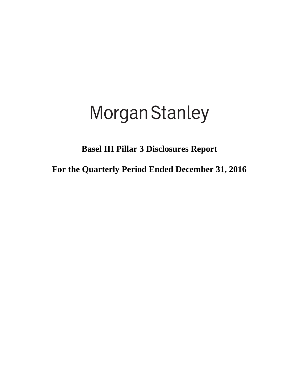# **Morgan Stanley**

**Basel III Pillar 3 Disclosures Report**

**For the Quarterly Period Ended December 31, 2016**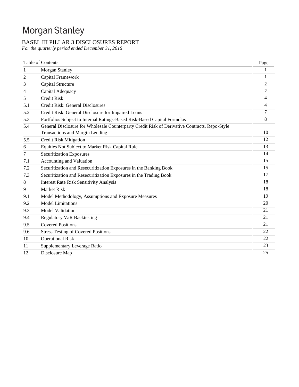# Morgan Stanley

# BASEL III PILLAR 3 DISCLOSURES REPORT

*For the quarterly period ended December 31, 2016*

|     | <b>Table of Contents</b>                                                                      | Page           |
|-----|-----------------------------------------------------------------------------------------------|----------------|
| 1   | Morgan Stanley                                                                                |                |
| 2   | Capital Framework                                                                             | 1              |
| 3   | Capital Structure                                                                             | $\overline{2}$ |
| 4   | Capital Adequacy                                                                              | $\mathfrak{2}$ |
| 5   | <b>Credit Risk</b>                                                                            | 4              |
| 5.1 | Credit Risk: General Disclosures                                                              | 4              |
| 5.2 | Credit Risk: General Disclosure for Impaired Loans                                            | 7              |
| 5.3 | Portfolios Subject to Internal Ratings-Based Risk-Based Capital Formulas                      | 8              |
| 5.4 | General Disclosure for Wholesale Counterparty Credit Risk of Derivative Contracts, Repo-Style |                |
|     | <b>Transactions and Margin Lending</b>                                                        | 10             |
| 5.5 | <b>Credit Risk Mitigation</b>                                                                 | 12             |
| 6   | Equities Not Subject to Market Risk Capital Rule                                              | 13             |
| 7   | <b>Securitization Exposures</b>                                                               | 14             |
| 7.1 | Accounting and Valuation                                                                      | 15             |
| 7.2 | Securitization and Resecuritization Exposures in the Banking Book                             | 15             |
| 7.3 | Securitization and Resecuritization Exposures in the Trading Book                             | 17             |
| 8   | <b>Interest Rate Risk Sensitivity Analysis</b>                                                | 18             |
| 9   | <b>Market Risk</b>                                                                            | 18             |
| 9.1 | Model Methodology, Assumptions and Exposure Measures                                          | 19             |
| 9.2 | <b>Model Limitations</b>                                                                      | 20             |
| 9.3 | <b>Model Validation</b>                                                                       | 21             |
| 9.4 | <b>Regulatory VaR Backtesting</b>                                                             | 21             |
| 9.5 | <b>Covered Positions</b>                                                                      | 21             |
| 9.6 | <b>Stress Testing of Covered Positions</b>                                                    | 22             |
| 10  | <b>Operational Risk</b>                                                                       | 22             |
| 11  | Supplementary Leverage Ratio                                                                  | 23             |
| 12  | Disclosure Map                                                                                | 25             |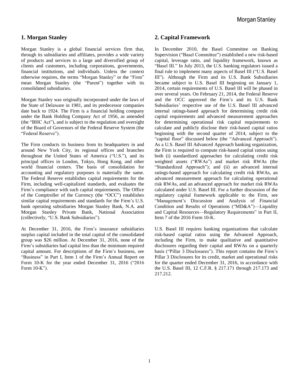# **1. Morgan Stanley**

Morgan Stanley is a global financial services firm that, through its subsidiaries and affiliates, provides a wide variety of products and services to a large and diversified group of clients and customers, including corporations, governments, financial institutions, and individuals. Unless the context otherwise requires, the terms "Morgan Stanley" or the "Firm" mean Morgan Stanley (the "Parent") together with its consolidated subsidiaries.

Morgan Stanley was originally incorporated under the laws of the State of Delaware in 1981, and its predecessor companies date back to 1924. The Firm is a financial holding company under the Bank Holding Company Act of 1956, as amended (the "BHC Act"), and is subject to the regulation and oversight of the Board of Governors of the Federal Reserve System (the "Federal Reserve").

The Firm conducts its business from its headquarters in and around New York City, its regional offices and branches throughout the United States of America ("U.S."), and its principal offices in London, Tokyo, Hong Kong, and other world financial centers. The basis of consolidation for accounting and regulatory purposes is materially the same. The Federal Reserve establishes capital requirements for the Firm, including well-capitalized standards, and evaluates the Firm's compliance with such capital requirements. The Office of the Comptroller of the Currency (the "OCC") establishes similar capital requirements and standards for the Firm's U.S. bank operating subsidiaries Morgan Stanley Bank, N.A. and Morgan Stanley Private Bank, National Association (collectively, "U.S. Bank Subsidiaries").

At December 31, 2016, the Firm's insurance subsidiaries surplus capital included in the total capital of the consolidated group was \$26 million. At December 31, 2016, none of the Firm's subsidiaries had capital less than the minimum required capital amount. For descriptions of the Firm's business, see "Business" in Part I, Item 1 of the Firm's Annual Report on Form 10-K for the year ended December 31, 2016 ("2016 Form 10-K").

#### **2. Capital Framework**

In December 2010, the Basel Committee on Banking Supervision ("Basel Committee") established a new risk-based capital, leverage ratio, and liquidity framework, known as "Basel III." In July 2013, the U.S. banking regulators issued a final rule to implement many aspects of Basel III ("U.S. Basel III"). Although the Firm and its U.S. Bank Subsidiaries became subject to U.S. Basel III beginning on January 1, 2014, certain requirements of U.S. Basel III will be phased in over several years. On February 21, 2014, the Federal Reserve and the OCC approved the Firm's and its U.S. Bank Subsidiaries' respective use of the U.S. Basel III advanced internal ratings-based approach for determining credit risk capital requirements and advanced measurement approaches for determining operational risk capital requirements to calculate and publicly disclose their risk-based capital ratios beginning with the second quarter of 2014, subject to the "capital floor" discussed below (the "Advanced Approach"). As a U.S. Basel III Advanced Approach banking organization, the Firm is required to compute risk-based capital ratios using both (i) standardized approaches for calculating credit risk weighted assets ("RWAs") and market risk RWAs (the "Standardized Approach"); and (ii) an advanced internal ratings-based approach for calculating credit risk RWAs, an advanced measurement approach for calculating operational risk RWAs, and an advanced approach for market risk RWAs calculated under U.S. Basel III. For a further discussion of the regulatory capital framework applicable to the Firm, see "Management's Discussion and Analysis of Financial Condition and Results of Operations ("MD&A")—Liquidity and Capital Resources—Regulatory Requirements" in Part II, Item 7 of the 2016 Form 10-K.

U.S. Basel III requires banking organizations that calculate risk-based capital ratios using the Advanced Approach, including the Firm, to make qualitative and quantitative disclosures regarding their capital and RWAs on a quarterly basis ("Pillar 3 Disclosures"). This report contains the Firm's Pillar 3 Disclosures for its credit, market and operational risks for the quarter ended December 31, 2016, in accordance with the U.S. Basel III, 12 C.F.R. § 217.171 through 217.173 and 217.212.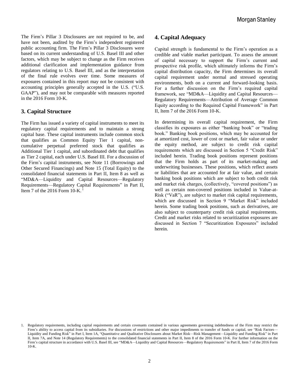The Firm's Pillar 3 Disclosures are not required to be, and have not been, audited by the Firm's independent registered public accounting firm. The Firm's Pillar 3 Disclosures were based on its current understanding of U.S. Basel III and other factors, which may be subject to change as the Firm receives additional clarification and implementation guidance from regulators relating to U.S. Basel III, and as the interpretation of the final rule evolves over time. Some measures of exposures contained in this report may not be consistent with accounting principles generally accepted in the U.S. ("U.S. GAAP"), and may not be comparable with measures reported in the 2016 Form 10-K.

# **3. Capital Structure**

The Firm has issued a variety of capital instruments to meet its regulatory capital requirements and to maintain a strong capital base. These capital instruments include common stock that qualifies as Common Equity Tier 1 capital, noncumulative perpetual preferred stock that qualifies as Additional Tier 1 capital, and subordinated debt that qualifies as Tier 2 capital, each under U.S. Basel III. For a discussion of the Firm's capital instruments, see Note 11 (Borrowings and Other Secured Financings) and Note 15 (Total Equity) to the consolidated financial statements in Part II, Item 8 as well as "MD&A—Liquidity and Capital Resources—Regulatory Requirements—Regulatory Capital Requirements" in Part II, Item 7 of the 2016 Form  $10$ -K.<sup>1</sup>

# **4. Capital Adequacy**

Capital strength is fundamental to the Firm's operation as a credible and viable market participant. To assess the amount of capital necessary to support the Firm's current and prospective risk profile, which ultimately informs the Firm's capital distribution capacity, the Firm determines its overall capital requirement under normal and stressed operating environments, both on a current and forward-looking basis. For a further discussion on the Firm's required capital framework, see "MD&A—Liquidity and Capital Resources— Regulatory Requirements—Attribution of Average Common Equity according to the Required Capital Framework" in Part II, Item 7 of the 2016 Form 10-K.

In determining its overall capital requirement, the Firm classifies its exposures as either "banking book" or "trading book." Banking book positions, which may be accounted for at amortized cost, lower of cost or market, fair value or under the equity method, are subject to credit risk capital requirements which are discussed in Section 5 "Credit Risk" included herein. Trading book positions represent positions that the Firm holds as part of its market-making and underwriting businesses. These positions, which reflect assets or liabilities that are accounted for at fair value, and certain banking book positions which are subject to both credit risk and market risk charges, (collectively, "covered positions") as well as certain non-covered positions included in Value-at-Risk ("VaR"), are subject to market risk capital requirements, which are discussed in Section 9 "Market Risk" included herein. Some trading book positions, such as derivatives, are also subject to counterparty credit risk capital requirements. Credit and market risks related to securitization exposures are discussed in Section 7 "Securitization Exposures" included herein.

<sup>1.</sup> Regulatory requirements, including capital requirements and certain covenants contained in various agreements governing indebtedness of the Firm may restrict the Firm's ability to access capital from its subsidiaries. For discussions of restrictions and other major impediments to transfer of funds or capital, see "Risk Factors-Liquidity and Funding Risk" in Part I, Item 1A, "Quantitative and Qualitative Disclosures about Market Risk—Risk Management—Liquidity and Funding Risk" in Part II, Item 7A, and Note 14 (Regulatory Requirements) to the consolidated financial statements in Part II, Item 8 of the 2016 Form 10-K. For further information on the Firm's capital structure in accordance with U.S. Basel III, see "MD&A—Liquidity and Capital Resources—Regulatory Requirements" in Part II, Item 7 of the 2016 Form 10-K.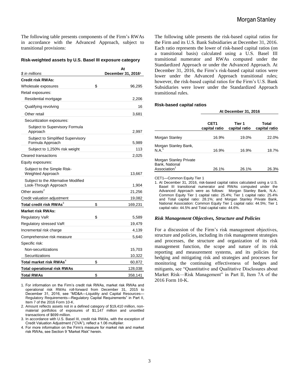The following table presents components of the Firm's RWAs in accordance with the Advanced Approach, subject to transitional provisions:

#### **Risk-weighted assets by U.S. Basel III exposure category**

| \$ in millions                                               | At<br>December 31, 2016 <sup>1</sup> |
|--------------------------------------------------------------|--------------------------------------|
| <b>Credit risk RWAs:</b>                                     |                                      |
| Wholesale exposures                                          | \$<br>96,295                         |
| Retail exposures:                                            |                                      |
| Residential mortgage                                         | 2,206                                |
| Qualifying revolving                                         | 16                                   |
| Other retail                                                 | 3,681                                |
| Securitization exposures:                                    |                                      |
| Subject to Supervisory Formula<br>Approach                   | 2,997                                |
| Subject to Simplified Supervisory<br>Formula Approach        | 5,989                                |
| Subject to 1,250% risk weight                                | 113                                  |
| <b>Cleared transactions</b>                                  | 2,025                                |
| Equity exposures:                                            |                                      |
| Subject to the Simple Risk-<br>Weighted Approach             | 13,667                               |
| Subject to the Alternative Modified<br>Look-Through Approach | 1,904                                |
| Other assets <sup>2</sup>                                    | 21,256                               |
| Credit valuation adjustment                                  | 19,082                               |
| Total credit risk RWAs <sup>3</sup>                          | \$<br>169,231                        |
| <b>Market risk RWAs:</b>                                     |                                      |
| <b>Regulatory VaR</b>                                        | \$<br>5,589                          |
| Regulatory stressed VaR                                      | 19,479                               |
| Incremental risk charge                                      | 4,139                                |
| Comprehensive risk measure                                   | 5,640                                |
| Specific risk:                                               |                                      |
| Non-securitizations                                          | 15,703                               |
| Securitizations                                              | 10,322                               |
| Total market risk RWAs <sup>4</sup>                          | \$<br>60,872                         |
| <b>Total operational risk RWAs</b>                           | 128,038                              |
| <b>Total RWAs</b>                                            | \$<br>358,141                        |

1. For information on the Firm's credit risk RWAs, market risk RWAs and operational risk RWAs roll-forward from December 31, 2015 to December 31, 2016, see "MD&A—Liquidity and Capital Resources— Regulatory Requirements—Regulatory Capital Requirements" in Part II, Item 7 of the 2016 Form 10-K.

2. Amount reflects assets not in a defined category of \$19,410 million, nonmaterial portfolios of exposures of \$1,147 million and unsettled transactions of \$699 million.

3. In accordance with U.S. Basel III, credit risk RWAs, with the exception of Credit Valuation Adjustment ("CVA"), reflect a 1.06 multiplier.

4. For more information on the Firm's measure for market risk and market risk RWAs, see Section 9 "Market Risk" herein.

The following table presents the risk-based capital ratios for the Firm and its U.S. Bank Subsidiaries at December 31, 2016. Each ratio represents the lower of risk-based capital ratios (on a transitional basis) calculated using a U.S. Basel III transitional numerator and RWAs computed under the Standardized Approach or under the Advanced Approach. At December 31, 2016, the Firm's risk-based capital ratios were lower under the Advanced Approach transitional rules; however, the risk-based capital ratios for the Firm's U.S. Bank Subsidiaries were lower under the Standardized Approach transitional rules.

#### **Risk-based capital ratios**

|                                                                             | CET <sub>1</sub><br>capital ratio | Tier 1<br>capital ratio | Total<br>capital ratio |
|-----------------------------------------------------------------------------|-----------------------------------|-------------------------|------------------------|
| Morgan Stanley                                                              | 16.9%                             | 19.0%                   | 22.0%                  |
| Morgan Stanley Bank,<br>N.A                                                 | 16.9%                             | 16.9%                   | 18.7%                  |
| <b>Morgan Stanley Private</b><br>Bank, National<br>Association <sup>1</sup> | 26.1%                             | 26.1%                   | 26.3%                  |

**At December 31, 2016**

CET1—Common Equity Tier 1

1. At December 31, 2016, risk-based capital ratios calculated using a U.S. Basel III transitional numerator and RWAs computed under the Advanced Approach were as follows: Morgan Stanley Bank, N.A.: Common Equity Tier 1 capital ratio: 25.4%; Tier 1 capital ratio: 25.4% and Total capital ratio: 28.1%; and Morgan Stanley Private Bank, National Association: Common Equity Tier 1 capital ratio: 44.5%; Tier 1 capital ratio: 44.5% and Total capital ratio: 44.6%.

#### *Risk Management Objectives, Structure and Policies*

For a discussion of the Firm's risk management objectives, structure and policies, including its risk management strategies and processes, the structure and organization of its risk management function, the scope and nature of its risk reporting and measurement systems, and its policies for hedging and mitigating risk and strategies and processes for monitoring the continuing effectiveness of hedges and mitigants, see "Quantitative and Qualitative Disclosures about Market Risk—Risk Management" in Part II, Item 7A of the 2016 Form 10-K.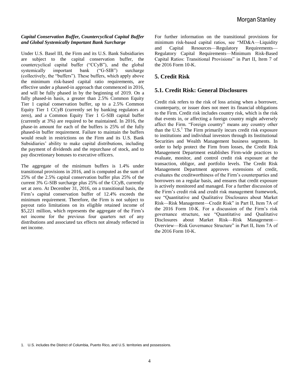#### *Capital Conservation Buffer, Countercyclical Capital Buffer and Global Systemically Important Bank Surcharge*

Under U.S. Basel III, the Firm and its U.S. Bank Subsidiaries are subject to the capital conservation buffer, the countercyclical capital buffer ("CCyB"), and the global systemically important bank ("G-SIB") surcharge (collectively, the "buffers"). These buffers, which apply above the minimum risk-based capital ratio requirements, are effective under a phased-in approach that commenced in 2016, and will be fully phased in by the beginning of 2019. On a fully phased-in basis, a greater than 2.5% Common Equity Tier 1 capital conservation buffer, up to a 2.5% Common Equity Tier 1 CCyB (currently set by banking regulators at zero), and a Common Equity Tier 1 G-SIB capital buffer (currently at 3%) are required to be maintained. In 2016, the phase-in amount for each of the buffers is 25% of the fully phased-in buffer requirement. Failure to maintain the buffers would result in restrictions on the Firm and its U.S. Bank Subsidiaries' ability to make capital distributions, including the payment of dividends and the repurchase of stock, and to pay discretionary bonuses to executive officers.

The aggregate of the minimum buffers is 1.4% under transitional provisions in 2016, and is computed as the sum of 25% of the 2.5% capital conservation buffer plus 25% of the current 3% G-SIB surcharge plus 25% of the CCyB, currently set at zero. At December 31, 2016, on a transitional basis, the Firm's capital conservation buffer of 12.4% exceeds the minimum requirement. Therefore, the Firm is not subject to payout ratio limitations on its eligible retained income of \$5,221 million, which represents the aggregate of the Firm's net income for the previous four quarters net of any distributions and associated tax effects not already reflected in net income.

For further information on the transitional provisions for minimum risk-based capital ratios, see "MD&A—Liquidity and Capital Resources—Regulatory Requirements— Regulatory Capital Requirements—Minimum Risk-Based Capital Ratios: Transitional Provisions" in Part II, Item 7 of the 2016 Form 10-K.

# **5. Credit Risk**

# **5.1. Credit Risk: General Disclosures**

Credit risk refers to the risk of loss arising when a borrower, counterparty, or issuer does not meet its financial obligations to the Firm. Credit risk includes country risk, which is the risk that events in, or affecting a foreign country might adversely affect the Firm. "Foreign country" means any country other than the  $U.S.<sup>1</sup>$  The Firm primarily incurs credit risk exposure to institutions and individual investors through its Institutional Securities and Wealth Management business segments. In order to help protect the Firm from losses, the Credit Risk Management Department establishes Firm-wide practices to evaluate, monitor, and control credit risk exposure at the transaction, obligor, and portfolio levels. The Credit Risk Management Department approves extensions of credit, evaluates the creditworthiness of the Firm's counterparties and borrowers on a regular basis, and ensures that credit exposure is actively monitored and managed. For a further discussion of the Firm's credit risk and credit risk management framework, see "Quantitative and Qualitative Disclosures about Market Risk—Risk Management—Credit Risk" in Part II, Item 7A of the 2016 Form 10-K. For a discussion of the Firm's risk governance structure, see "Quantitative and Qualitative Disclosures about Market Risk—Risk Management— Overview—Risk Governance Structure" in Part II, Item 7A of the 2016 Form 10-K.

<sup>1.</sup> U.S. includes the District of Columbia, Puerto Rico, and U.S. territories and possessions.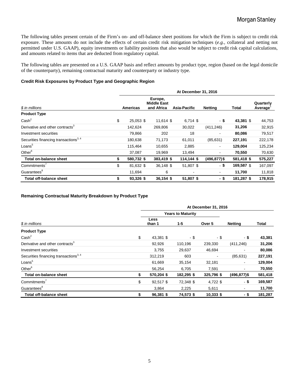The following tables present certain of the Firm's on- and off-balance sheet positions for which the Firm is subject to credit risk exposure. These amounts do not include the effects of certain credit risk mitigation techniques (*e.g.*, collateral and netting not permitted under U.S. GAAP), equity investments or liability positions that also would be subject to credit risk capital calculations, and amounts related to items that are deducted from regulatory capital.

The following tables are presented on a U.S. GAAP basis and reflect amounts by product type, region (based on the legal domicile of the counterparty), remaining contractual maturity and counterparty or industry type.

#### **Credit Risk Exposures by Product Type and Geographic Region**

|                                                   |                  |                                             | At December 31, 2016 |                 |              |                             |
|---------------------------------------------------|------------------|---------------------------------------------|----------------------|-----------------|--------------|-----------------------------|
| \$ in millions                                    | <b>Americas</b>  | Europe,<br><b>Middle East</b><br>and Africa | Asia-Pacific         | <b>Netting</b>  | <b>Total</b> | Quarterly<br><b>Average</b> |
| <b>Product Type</b>                               |                  |                                             |                      |                 |              |                             |
| $\text{Cash}^2$                                   | \$<br>25,053 \$  | 11,614 \$                                   | $6,714$ \$           | - \$            | 43,381 \$    | 44,753                      |
| Derivative and other contracts <sup>3</sup>       | 142.624          | 269,806                                     | 30,022               | (411, 246)      | 31,206       | 32,915                      |
| Investment securities                             | 79,866           | 202                                         | 18                   | $\blacksquare$  | 80,086       | 79,517                      |
| Securities financing transactions <sup>3, 4</sup> | 180,638          | 71,173                                      | 61,011               | (85, 631)       | 227,191      | 222,178                     |
| Loans <sup>5</sup>                                | 115,464          | 10,655                                      | 2,885                | $\blacksquare$  | 129,004      | 125,234                     |
| Other $6$                                         | 37,087           | 19,969                                      | 13,494               | $\blacksquare$  | 70,550       | 70,630                      |
| Total on-balance sheet                            | \$<br>580,732 \$ | 383,419 \$                                  | 114,144 \$           | $(496, 877)$ \$ | 581,418 \$   | 575,227                     |
| Commitments'                                      | \$<br>81,632 \$  | 36,148 \$                                   | 51,807 \$            | - \$            | 169,587 \$   | 167,097                     |
| Guarantees <sup>8</sup>                           | 11,694           | 6                                           |                      | $\blacksquare$  | 11,700       | 11,818                      |
| <b>Total off-balance sheet</b>                    | \$<br>93,326 \$  | 36,154 \$                                   | 51,807 \$            | - \$            | 181,287 \$   | 178,915                     |

#### **Remaining Contractual Maturity Breakdown by Product Type**

|                                                   | At December 31, 2016 |                          |            |                |                          |              |  |  |  |  |
|---------------------------------------------------|----------------------|--------------------------|------------|----------------|--------------------------|--------------|--|--|--|--|
|                                                   |                      | <b>Years to Maturity</b> |            |                |                          |              |  |  |  |  |
| \$ in millions                                    |                      | Less<br>than 1           | $1 - 5$    | Over 5         | <b>Netting</b>           | <b>Total</b> |  |  |  |  |
| <b>Product Type</b>                               |                      |                          |            |                |                          |              |  |  |  |  |
| Cash <sup>2</sup>                                 | \$                   | 43,381 \$                | - \$       | - \$           | - \$                     | 43,381       |  |  |  |  |
| Derivative and other contracts <sup>3</sup>       |                      | 92,926                   | 110,196    | 239,330        | (411, 246)               | 31,206       |  |  |  |  |
| Investment securities                             |                      | 3,755                    | 29,637     | 46,694         | $\overline{\phantom{a}}$ | 80,086       |  |  |  |  |
| Securities financing transactions <sup>3, 4</sup> |                      | 312,219                  | 603        | $\blacksquare$ | (85, 631)                | 227,191      |  |  |  |  |
| Loans <sup>5</sup>                                |                      | 61,669                   | 35,154     | 32,181         | $\blacksquare$           | 129,004      |  |  |  |  |
| Other <sup>6</sup>                                |                      | 56,254                   | 6,705      | 7,591          | $\overline{\phantom{a}}$ | 70,550       |  |  |  |  |
| <b>Total on-balance sheet</b>                     |                      | 570,204 \$               | 182,295 \$ | 325,796 \$     | $(496, 877)$ \$          | 581,418      |  |  |  |  |
| Commitments <sup>7</sup>                          | \$                   | 92,517 \$                | 72,348 \$  | 4,722 \$       | $-$ \$                   | 169,587      |  |  |  |  |
| Guarantees <sup>8</sup>                           |                      | 3,864                    | 2,225      | 5,611          | ٠                        | 11,700       |  |  |  |  |
| <b>Total off-balance sheet</b>                    | \$                   | 96,381 \$                | 74,573 \$  | $10,333$ \$    | - \$                     | 181,287      |  |  |  |  |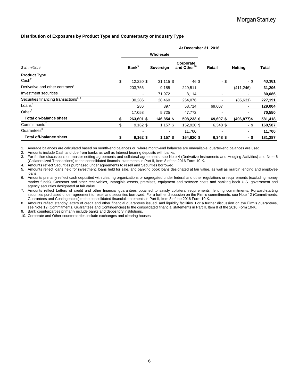#### **Distribution of Exposures by Product Type and Counterparty or Industry Type**

|                                                  |    |                   |                | At December 31, 2016                 |                          |                 |         |
|--------------------------------------------------|----|-------------------|----------------|--------------------------------------|--------------------------|-----------------|---------|
|                                                  |    |                   | Wholesale      |                                      |                          |                 |         |
| \$ in millions                                   |    | Bank <sup>9</sup> | Sovereign      | Corporate<br>and Other <sup>10</sup> | Retail                   | <b>Netting</b>  | Total   |
| <b>Product Type</b><br>Cash <sup>2</sup>         | \$ | 12,220 \$         | 31,115 \$      | 46 \$                                | - \$                     | - \$            | 43,381  |
| Derivative and other contracts <sup>3</sup>      |    | 203,756           | 9,185          | 229,511                              | $\overline{\phantom{a}}$ | (411,246)       | 31,206  |
| Investment securities                            |    |                   | 71,972         | 8,114                                |                          | ۰               | 80,086  |
| Securities financing transactions <sup>3,4</sup> |    | 30,286            | 28,460         | 254,076                              |                          | (85, 631)       | 227,191 |
| Loans <sup>5</sup>                               |    | 286               | 397            | 58,714                               | 69,607                   | $\blacksquare$  | 129,004 |
| Other $6$                                        |    | 17,053            | 5,725          | 47,772                               |                          | ۰.              | 70,550  |
| <b>Total on-balance sheet</b>                    | S  | 263,601 \$        | 146,854 \$     | 598,233 \$                           | 69,607 \$                | $(496, 877)$ \$ | 581,418 |
| Commitments'                                     | \$ | $9,162$ \$        | $1,157$ \$     | 152,920 \$                           | 6,348 \$                 | - \$            | 169,587 |
| Guarantees <sup>8</sup>                          |    |                   | $\blacksquare$ | 11,700                               |                          | $\blacksquare$  | 11,700  |
| Total off-balance sheet                          | \$ | $9,162$ \$        | $1,157$ \$     | 164,620 \$                           | 6,348 \$                 | - \$            | 181,287 |

1. Average balances are calculated based on month-end balances or, where month-end balances are unavailable, quarter-end balances are used.

2. Amounts include Cash and due from banks as well as Interest bearing deposits with banks.

3. For further discussions on master netting agreements and collateral agreements, see Note 4 (Derivative Instruments and Hedging Activities) and Note 6 (Collateralized Transactions) to the consolidated financial statements in Part II, Item 8 of the 2016 Form 10-K.

4. Amounts reflect Securities purchased under agreements to resell and Securities borrowed.

5. Amounts reflect loans held for investment, loans held for sale, and banking book loans designated at fair value, as well as margin lending and employee loans.

6. Amounts primarily reflect cash deposited with clearing organizations or segregated under federal and other regulations or requirements (excluding money market funds), Customer and other receivables, Intangible assets, premises, equipment and software costs and banking book U.S. government and agency securities designated at fair value.

7. Amounts reflect Letters of credit and other financial guarantees obtained to satisfy collateral requirements, lending commitments, Forward-starting securities purchased under agreement to resell and securities borrowed. For a further discussion on the Firm's commitments, see Note 12 (Commitments, Guarantees and Contingencies) to the consolidated financial statements in Part II, Item 8 of the 2016 Form 10-K.

8. Amounts reflect standby letters of credit and other financial guarantees issued, and liquidity facilities. For a further discussion on the Firm's guarantees, see Note 12 (Commitments, Guarantees and Contingencies) to the consolidated financial statements in Part II, Item 8 of the 2016 Form 10-K.

9. Bank counterparties primarily include banks and depository institutions.

10. Corporate and Other counterparties include exchanges and clearing houses.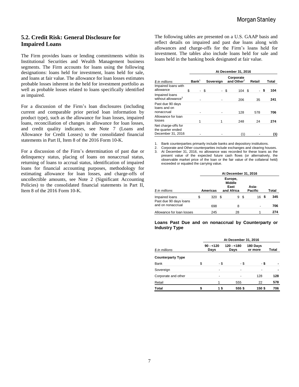# **5.2. Credit Risk: General Disclosure for Impaired Loans**

The Firm provides loans or lending commitments within its Institutional Securities and Wealth Management business segments. The Firm accounts for loans using the following designations: loans held for investment, loans held for sale, and loans at fair value. The allowance for loan losses estimates probable losses inherent in the held for investment portfolio as well as probable losses related to loans specifically identified as impaired.

For a discussion of the Firm's loan disclosures (including current and comparable prior period loan information by product type), such as the allowance for loan losses, impaired loans, reconciliation of changes in allowance for loan losses, and credit quality indicators, see Note 7 (Loans and Allowance for Credit Losses) to the consolidated financial statements in Part II, Item 8 of the 2016 Form 10-K.

For a discussion of the Firm's determination of past due or delinquency status, placing of loans on nonaccrual status, returning of loans to accrual status, identification of impaired loans for financial accounting purposes, methodology for estimating allowance for loan losses, and charge-offs of uncollectible amounts, see Note 2 (Significant Accounting Policies) to the consolidated financial statements in Part II, Item 8 of the 2016 Form 10-K.

The following tables are presented on a U.S. GAAP basis and reflect details on impaired and past due loans along with allowances and charge-offs for the Firm's loans held for investment. The tables also include loans held for sale and loans held in the banking book designated at fair value.

|                                                               |                   |           | At December 31, 2016        |        |           |
|---------------------------------------------------------------|-------------------|-----------|-----------------------------|--------|-----------|
| \$ in millions                                                | Bank <sup>1</sup> | Sovereign | Corporate<br>and Other $^2$ | Retail | Total     |
| Impaired loans with<br>allowance                              | \$                | \$        | \$<br>104S                  |        | \$<br>104 |
| Impaired loans<br>without allowance <sup>3</sup>              |                   |           | 206                         | 35     | 241       |
| Past due 90 days<br>loans and on<br>nonaccrual                |                   |           | 128                         | 578    | 706       |
| Allowance for loan<br>losses                                  |                   | 1         | 248                         | 24     | 274       |
| Net charge-offs for<br>the quarter ended<br>December 31, 2016 |                   |           | 1)                          |        | (1)       |

1. Bank counterparties primarily include banks and depository institutions.

2. Corporate and Other counterparties include exchanges and clearing houses. 3. At December 31, 2016, no allowance was recorded for these loans as the present value of the expected future cash flows (or alternatively, the observable market price of the loan or the fair value of the collateral held) exceeded or equaled the carrying value.

|                                             |    |                                                                   |      | At December 31, 2016 |   |                         |       |     |
|---------------------------------------------|----|-------------------------------------------------------------------|------|----------------------|---|-------------------------|-------|-----|
| \$ in millions                              |    | Europe,<br><b>Middle</b><br>East<br>and Africa<br><b>Americas</b> |      |                      |   | Asia-<br><b>Pacific</b> | Total |     |
| Impaired loans                              | S. | 320                                                               | - \$ | 9                    | S | 16                      |       | 345 |
| Past due 90 days loans<br>and on nonaccrual |    | 698                                                               |      | 8                    |   |                         |       | 706 |
| Allowance for loan losses                   |    | 245                                                               |      | 28                   |   |                         |       | 274 |

#### **Loans Past Due and on nonaccrual by Counterparty or Industry Type**

|                          |                    | At December 31, 2016 |                     |              |
|--------------------------|--------------------|----------------------|---------------------|--------------|
| \$ in millions           | $90 - 120$<br>Days | $120 - 180$<br>Days  | 180 Days<br>or more | <b>Total</b> |
| <b>Counterparty Type</b> |                    |                      |                     |              |
| Bank                     | \$<br>- \$         | - \$                 | - \$                |              |
| Sovereign                |                    |                      |                     |              |
| Corporate and other      | $\blacksquare$     |                      | 128                 | 128          |
| Retail                   | 1                  | 555                  | 22                  | 578          |
| Total                    | 1\$                | 555\$                | 150\$               | 706          |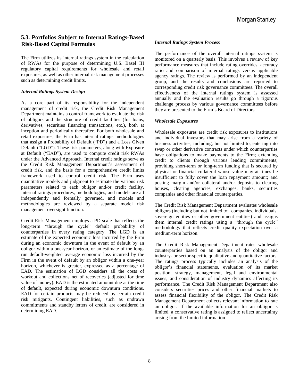# **5.3. Portfolios Subject to Internal Ratings-Based Risk-Based Capital Formulas**

The Firm utilizes its internal ratings system in the calculation of RWAs for the purpose of determining U.S. Basel III regulatory capital requirements for wholesale and retail exposures, as well as other internal risk management processes such as determining credit limits.

#### *Internal Ratings System Design*

As a core part of its responsibility for the independent management of credit risk, the Credit Risk Management Department maintains a control framework to evaluate the risk of obligors and the structure of credit facilities (for loans, derivatives, securities financing transactions, etc.), both at inception and periodically thereafter. For both wholesale and retail exposures, the Firm has internal ratings methodologies that assign a Probability of Default ("PD") and a Loss Given Default ("LGD"). These risk parameters, along with Exposure at Default ("EAD"), are used to compute credit risk RWAs under the Advanced Approach. Internal credit ratings serve as the Credit Risk Management Department's assessment of credit risk, and the basis for a comprehensive credit limits framework used to control credit risk. The Firm uses quantitative models and judgment to estimate the various risk parameters related to each obligor and/or credit facility. Internal ratings procedures, methodologies, and models are all independently and formally governed, and models and methodologies are reviewed by a separate model risk management oversight function.

Credit Risk Management employs a PD scale that reflects the long-term "through the cycle" default probability of counterparties in every rating category. The LGD is an estimate of the expected economic loss incurred by the Firm during an economic downturn in the event of default by an obligor within a one-year horizon, or an estimate of the longrun default-weighted average economic loss incurred by the Firm in the event of default by an obligor within a one-year horizon, whichever is greater, expressed as a percentage of EAD. The estimation of LGD considers all the costs of workout and collections net of recoveries (adjusted for time value of money). EAD is the estimated amount due at the time of default, expected during economic downturn conditions. EAD for certain products may be reduced by certain credit risk mitigants. Contingent liabilities, such as undrawn commitments and standby letters of credit, are considered in determining EAD.

#### *Internal Ratings System Process*

The performance of the overall internal ratings system is monitored on a quarterly basis. This involves a review of key performance measures that include rating overrides, accuracy ratio and comparison of internal ratings versus applicable agency ratings. The review is performed by an independent group, and the results and conclusions are reported to corresponding credit risk governance committees. The overall effectiveness of the internal ratings system is assessed annually and the evaluation results go through a rigorous challenge process by various governance committees before they are presented to the Firm's Board of Directors.

#### *Wholesale Exposures*

Wholesale exposures are credit risk exposures to institutions and individual investors that may arise from a variety of business activities, including, but not limited to, entering into swap or other derivative contracts under which counterparties have obligations to make payments to the Firm; extending credit to clients through various lending commitments; providing short-term or long-term funding that is secured by physical or financial collateral whose value may at times be insufficient to fully cover the loan repayment amount; and posting margin and/or collateral and/or deposits to clearing houses, clearing agencies, exchanges, banks, securities companies and other financial counterparties.

The Credit Risk Management Department evaluates wholesale obligors (including but not limited to: companies, individuals, sovereign entities or other government entities) and assigns them internal credit ratings using a "through the cycle" methodology that reflects credit quality expectation over a medium-term horizon.

The Credit Risk Management Department rates wholesale counterparties based on an analysis of the obligor and industry- or sector-specific qualitative and quantitative factors. The ratings process typically includes an analysis of the obligor's financial statements, evaluation of its market position, strategy, management, legal and environmental issues; and consideration of industry dynamics affecting its performance. The Credit Risk Management Department also considers securities prices and other financial markets to assess financial flexibility of the obligor. The Credit Risk Management Department collects relevant information to rate an obligor. If the available information for an obligor is limited, a conservative rating is assigned to reflect uncertainty arising from the limited information.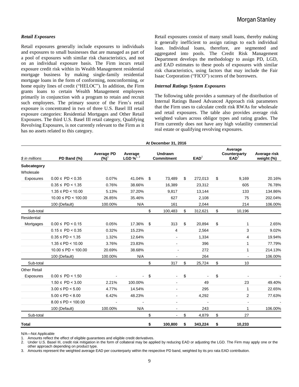#### *Retail Exposures*

Retail exposures generally include exposures to individuals and exposures to small businesses that are managed as part of a pool of exposures with similar risk characteristics, and not on an individual exposure basis. The Firm incurs retail exposure credit risk within its Wealth Management residential mortgage business by making single-family residential mortgage loans in the form of conforming, nonconforming, or home equity lines of credit ("HELOC"). In addition, the Firm grants loans to certain Wealth Management employees primarily in conjunction with a program to retain and recruit such employees. The primary source of the Firm's retail exposure is concentrated in two of three U.S. Basel III retail exposure categories: Residential Mortgages and Other Retail Exposures. The third U.S. Basel III retail category, Qualifying Revolving Exposures, is not currently relevant to the Firm as it has no assets related to this category.

Retail exposures consist of many small loans, thereby making it generally inefficient to assign ratings to each individual loan. Individual loans, therefore, are segmented and aggregated into pools. The Credit Risk Management Department develops the methodology to assign PD, LGD, and EAD estimates to these pools of exposures with similar risk characteristics, using factors that may include the Fair Isaac Corporation ("FICO") scores of the borrowers.

#### *Internal Ratings System Exposures*

The following table provides a summary of the distribution of Internal Ratings Based Advanced Approach risk parameters that the Firm uses to calculate credit risk RWAs for wholesale and retail exposures. The table also provides average risk weighted values across obligor types and rating grades. The Firm currently does not have any high volatility commercial real estate or qualifying revolving exposures.

|                          |                              |                              |                                    |    | At December 31, 2016                |    |                  |                           |                                             |                            |
|--------------------------|------------------------------|------------------------------|------------------------------------|----|-------------------------------------|----|------------------|---------------------------|---------------------------------------------|----------------------------|
| \$ in millions           | PD Band (%)                  | <b>Average PD</b><br>$(%)^1$ | Average<br>LGD $\mathscr{C}^{1,2}$ |    | <b>Undrawn</b><br><b>Commitment</b> |    | EAD <sup>2</sup> |                           | Average<br>Counterparty<br>EAD <sup>3</sup> | Average risk<br>weight (%) |
| Subcategory<br>Wholesale |                              |                              |                                    |    |                                     |    |                  |                           |                                             |                            |
| Exposures                | $0.00 \leq \text{PD} < 0.35$ | 0.07%                        | 41.04%                             | \$ | 73,489                              | \$ | 272,013          | \$                        | 9,169                                       | 20.16%                     |
|                          | $0.35 \leq P D < 1.35$       | 0.76%                        | 38.66%                             |    | 16,389                              |    | 23,312           |                           | 605                                         | 76.78%                     |
|                          | $1.35 \leq P D < 10.00$      | 5.13%                        | 37.20%                             |    | 9.817                               |    | 13.144           |                           | 133                                         | 134.86%                    |
|                          | $10.00 \leq PD < 100.00$     | 26.85%                       | 35.46%                             |    | 627                                 |    | 2,108            |                           | 75                                          | 202.04%                    |
|                          | 100 (Default)                | 100.00%                      | N/A                                |    | 161                                 |    | 2,044            |                           | 214                                         | 106.00%                    |
| Sub-total                |                              |                              |                                    | \$ | 100,483                             | \$ | 312,621          | $\boldsymbol{\mathsf{S}}$ | 10,196                                      |                            |
| Residential              |                              |                              |                                    |    |                                     |    |                  |                           |                                             |                            |
| Mortgages                | $0.00 \leq P D < 0.15$       | 0.05%                        | 17.36%                             | \$ | 313                                 | \$ | 20,894           | \$                        | 1.                                          | 2.65%                      |
|                          | $0.15 \leq P D < 0.35$       | 0.32%                        | 15.23%                             |    | 4                                   |    | 2,564            |                           | 3                                           | 9.02%                      |
|                          | $0.35 \leq P D < 1.35$       | 1.32%                        | 12.64%                             |    |                                     |    | 1,334            |                           | 4                                           | 19.94%                     |
|                          | $1.35 \leq PD < 10.00$       | 3.76%                        | 23.83%                             |    | $\overline{\phantom{a}}$            |    | 396              |                           | 1                                           | 77.79%                     |
|                          | $10.00 \leq PD < 100.00$     | 20.69%                       | 38.68%                             |    | $\blacksquare$                      |    | 272              |                           | 1                                           | 214.13%                    |
|                          | 100 (Default)                | 100.00%                      | N/A                                |    |                                     |    | 264              |                           | $\blacksquare$                              | 106.00%                    |
| Sub-total                |                              |                              |                                    | \$ | 317                                 | \$ | 25,724           | \$                        | 10                                          |                            |
| <b>Other Retail</b>      |                              |                              |                                    |    |                                     |    |                  |                           |                                             |                            |
| Exposures                | $0.00 \leq P D < 1.50$       |                              | $\sim$                             | \$ | $\sim$                              | \$ |                  | \$                        | $\blacksquare$                              |                            |
|                          | $1.50 \leq P D < 3.00$       | 2.21%                        | 100.00%                            |    |                                     |    | 49               |                           | 23                                          | 49.40%                     |
|                          | $3.00 \leq P D < 5.00$       | 4.77%                        | 14.54%                             |    |                                     |    | 295              |                           | 1                                           | 22.65%                     |
|                          | $5.00 \leq PD < 8.00$        | 6.42%                        | 48.23%                             |    | $\overline{\phantom{a}}$            |    | 4,292            |                           | 2                                           | 77.63%                     |
|                          | $8.00 \leq PD < 100.00$      |                              |                                    |    | $\blacksquare$                      |    |                  |                           | $\blacksquare$                              |                            |
|                          | 100 (Default)                | 100.00%                      | N/A                                |    |                                     |    | 243              |                           | 1                                           | 106.00%                    |
| Sub-total                |                              |                              |                                    | \$ | $\blacksquare$                      | \$ | 4,879            | \$                        | 27                                          |                            |
| Total                    |                              |                              |                                    | \$ | 100,800                             | \$ | 343,224          | \$                        | 10,233                                      |                            |

N/A—Not Applicable

Amounts reflect the effect of eligible guarantees and eligible credit derivatives.

2. Under U.S. Basel III, credit risk mitigation in the form of collateral may be applied by reducing EAD or adjusting the LGD. The Firm may apply one or the

other approach depending on product type.

3. Amounts represent the weighted average EAD per counterparty within the respective PD band, weighted by its pro rata EAD contribution.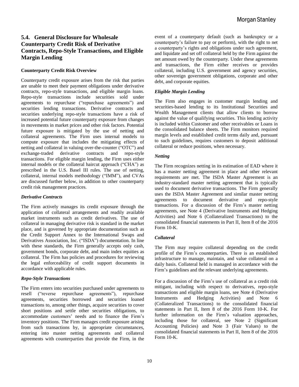# **5.4. General Disclosure for Wholesale Counterparty Credit Risk of Derivative Contracts, Repo-Style Transactions, and Eligible Margin Lending**

#### **Counterparty Credit Risk Overview**

Counterparty credit exposure arises from the risk that parties are unable to meet their payment obligations under derivative contracts, repo-style transactions, and eligible margin loans. Repo-style transactions include securities sold under agreements to repurchase ("repurchase agreements") and securities lending transactions. Derivative contracts and securities underlying repo-style transactions have a risk of increased potential future counterparty exposure from changes in movements in market prices and other risk factors. Potential future exposure is mitigated by the use of netting and collateral agreements. The Firm uses internal models to compute exposure that includes the mitigating effects of netting and collateral in valuing over-the-counter ("OTC") and<br>exchange-traded derivative contracts and repo-style derivative contracts and repo-style transactions. For eligible margin lending, the Firm uses either internal models or the collateral haircut approach ("CHA") as prescribed in the U.S. Basel III rules. The use of netting, collateral, internal models methodology ("IMM"), and CVAs are discussed further below, in addition to other counterparty credit risk management practices.

#### *Derivative Contracts*

The Firm actively manages its credit exposure through the application of collateral arrangements and readily available market instruments such as credit derivatives. The use of collateral in managing derivative risk is standard in the market place, and is governed by appropriate documentation such as the Credit Support Annex to the International Swaps and Derivatives Association, Inc. ("ISDA") documentation. In line with these standards, the Firm generally accepts only cash, government bonds, corporate debt, and main index equities as collateral. The Firm has policies and procedures for reviewing the legal enforceability of credit support documents in accordance with applicable rules.

#### *Repo-Style Transactions*

The Firm enters into securities purchased under agreements to resell ("reverse repurchase agreements"), repurchase agreements, securities borrowed and securities loaned transactions to, among other things, acquire securities to cover short positions and settle other securities obligations, to accommodate customers' needs and to finance the Firm's inventory positions. The Firm manages credit exposure arising from such transactions by, in appropriate circumstances, entering into master netting agreements and collateral agreements with counterparties that provide the Firm, in the event of a counterparty default (such as bankruptcy or a counterparty's failure to pay or perform), with the right to net a counterparty's rights and obligations under such agreement, and liquidate and set off collateral held by the Firm against the net amount owed by the counterparty. Under these agreements and transactions, the Firm either receives or provides collateral, including U.S. government and agency securities, other sovereign government obligations, corporate and other debt, and corporate equities.

#### *Eligible Margin Lending*

The Firm also engages in customer margin lending and securities-based lending to its Institutional Securities and Wealth Management clients that allow clients to borrow against the value of qualifying securities. This lending activity is included within Customer and other receivables or Loans in the consolidated balance sheets. The Firm monitors required margin levels and established credit terms daily and, pursuant to such guidelines, requires customers to deposit additional collateral or reduce positions, when necessary.

#### *Netting*

The Firm recognizes netting in its estimation of EAD where it has a master netting agreement in place and other relevant requirements are met. The ISDA Master Agreement is an industry-standard master netting agreement that is typically used to document derivative transactions. The Firm generally uses the ISDA Master Agreement and similar master netting agreements to document derivative and repo-style transactions. For a discussion of the Firm's master netting agreements, see Note 4 (Derivative Instruments and Hedging Activities) and Note 6 (Collateralized Transactions) to the consolidated financial statements in Part II, Item 8 of the 2016 Form 10-K.

#### *Collateral*

The Firm may require collateral depending on the credit profile of the Firm's counterparties. There is an established infrastructure to manage, maintain, and value collateral on a daily basis. Collateral held is managed in accordance with the Firm's guidelines and the relevant underlying agreements.

For a discussion of the Firm's use of collateral as a credit risk mitigant, including with respect to derivatives, repo-style transactions and eligible margin loans, see Note 4 (Derivative Instruments and Hedging Activities) and Note 6 (Collateralized Transactions) to the consolidated financial statements in Part II, Item 8 of the 2016 Form 10-K. For further information on the Firm's valuation approaches, including those for collateral, see Note 2 (Significant Accounting Policies) and Note 3 (Fair Values) to the consolidated financial statements in Part II, Item 8 of the 2016 Form 10-K.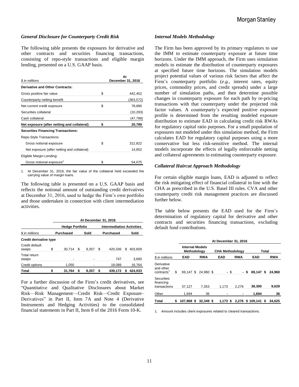#### *General Disclosure for Counterparty Credit Risk*

The following table presents the exposures for derivative and other contracts and securities financing transactions, consisting of repo-style transactions and eligible margin lending, presented on a U.S. GAAP basis.

| \$ in millions                              | At<br>December 31, 2016 |
|---------------------------------------------|-------------------------|
| Derivative and Other Contracts:             |                         |
| Gross positive fair value                   | \$<br>442,452           |
| Counterparty netting benefit                | (363,572)               |
| Net current credit exposure                 | \$<br>78,880            |
| Securities collateral                       | (10, 293)               |
| Cash collateral                             | (47,798)                |
| Net exposure (after netting and collateral) | \$<br>20,789            |
| <b>Securities Financing Transactions:</b>   |                         |
| Repo-Style Transactions:                    |                         |
| Gross notional exposure                     | \$<br>312,822           |
| Net exposure (after netting and collateral) | 14,852                  |
| Eligible Margin Lending:                    |                         |
| Gross notional exposure <sup>1</sup>        | \$<br>54.075            |

1. At December 31, 2016, the fair value of the collateral held exceeded the carrying value of margin loans.

The following table is presented on a U.S. GAAP basis and reflects the notional amount of outstanding credit derivatives at December 31, 2016, used to hedge the Firm's own portfolio and those undertaken in connection with client intermediation activities.

|                         |    |                        |   |       |    | At December 31, 2016             |   |         |  |
|-------------------------|----|------------------------|---|-------|----|----------------------------------|---|---------|--|
|                         |    | <b>Hedge Portfolio</b> |   |       |    | <b>Intermediation Activities</b> |   |         |  |
| \$ in millions          |    | <b>Purchased</b>       |   | Sold  |    | Purchased                        |   | Sold    |  |
| Credit derivative type  |    |                        |   |       |    |                                  |   |         |  |
| Credit default<br>swaps | S  | 30.714                 | S | 9.357 | S  | 420.336                          | S | 403.609 |  |
| Total return<br>swaps   |    | ۰                      |   |       |    | 747                              |   | 3.660   |  |
| Credit options          |    | 1,050                  |   |       |    | 18,089                           |   | 16,764  |  |
| <b>Total</b>            | \$ | 31.764                 | S | 9.357 | \$ | 439.172                          | 5 | 424.033 |  |

For a further discussion of the Firm's credit derivatives, see "Quantitative and Qualitative Disclosures about Market Risk—Risk Management—Credit Risk—Credit Exposure– Derivatives" in Part II, Item 7A and Note 4 (Derivative Instruments and Hedging Activities) to the consolidated financial statements in Part II, Item 8 of the 2016 Form 10-K.

#### *Internal Models Methodology*

The Firm has been approved by its primary regulators to use the IMM to estimate counterparty exposure at future time horizons. Under the IMM approach, the Firm uses simulation models to estimate the distribution of counterparty exposures at specified future time horizons. The simulation models project potential values of various risk factors that affect the Firm's counterparty portfolio (*e.g.*, interest rates, equity prices, commodity prices, and credit spreads) under a large number of simulation paths, and then determine possible changes in counterparty exposure for each path by re-pricing transactions with that counterparty under the projected risk factor values. A counterparty's expected positive exposure profile is determined from the resulting modeled exposure distribution to estimate EAD in calculating credit risk RWAs for regulatory capital ratio purposes. For a small population of exposures not modeled under this simulation method, the Firm calculates EAD for regulatory capital purposes using a more conservative but less risk-sensitive method. The internal models incorporate the effects of legally enforceable netting and collateral agreements in estimating counterparty exposure.

#### *Collateral Haircut Approach Methodology*

For certain eligible margin loans, EAD is adjusted to reflect the risk mitigating effect of financial collateral in line with the CHA as prescribed in the U.S. Basel III rules. CVA and other counterparty credit risk management practices are discussed further below.

The table below presents the EAD used for the Firm's determination of regulatory capital for derivative and other contracts and securities financing transactions, excluding default fund contributions.

|                                                   | At December 31, 2016                  |  |            |  |                        |            |       |                  |  |            |
|---------------------------------------------------|---------------------------------------|--|------------|--|------------------------|------------|-------|------------------|--|------------|
|                                                   | <b>Internal Models</b><br>Methodology |  |            |  | <b>CHA Methodology</b> |            | Total |                  |  |            |
| \$ in millions                                    | EAD                                   |  | <b>RWA</b> |  | <b>EAD</b>             | <b>RWA</b> |       | <b>EAD</b>       |  | <b>RWA</b> |
| Derivative<br>and other<br>contracts <sup>1</sup> | \$<br>69.147 \$                       |  | 24.960 \$  |  | - \$                   |            | - S   | 69.147 \$        |  | 24.960     |
| Securities<br>financing<br>transactions           | 37,127                                |  | 7,353      |  | 1,173                  | 2.276      |       | 38,300           |  | 9,629      |
| Other                                             | 1.694                                 |  | 36         |  |                        |            |       | 1,694            |  | 36         |
| <b>Total</b>                                      | \$<br>107,968 \$                      |  | 32,349 \$  |  | $1.173$ \$             |            |       | 2,276 \$ 109,141 |  | 34,625     |

1. Amount includes client exposures related to cleared transactions.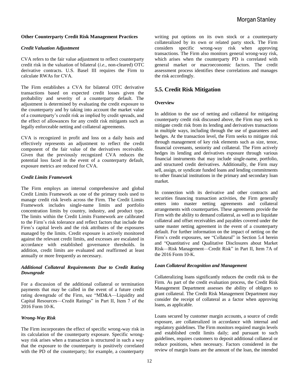#### **Other Counterparty Credit Risk Management Practices**

#### *Credit Valuation Adjustment*

CVA refers to the fair value adjustment to reflect counterparty credit risk in the valuation of bilateral (*i.e.,* non-cleared) OTC derivative contracts. U.S. Basel III requires the Firm to calculate RWAs for CVA.

The Firm establishes a CVA for bilateral OTC derivative transactions based on expected credit losses given the probability and severity of a counterparty default. The adjustment is determined by evaluating the credit exposure to the counterparty and by taking into account the market value of a counterparty's credit risk as implied by credit spreads, and the effect of allowances for any credit risk mitigants such as legally enforceable netting and collateral agreements.

CVA is recognized in profit and loss on a daily basis and effectively represents an adjustment to reflect the credit component of the fair value of the derivatives receivable. Given that the previously recognized CVA reduces the potential loss faced in the event of a counterparty default, exposure metrics are reduced for CVA.

#### *Credit Limits Framework*

The Firm employs an internal comprehensive and global Credit Limits Framework as one of the primary tools used to manage credit risk levels across the Firm. The Credit Limits Framework includes single-name limits and portfolio concentration limits by country, industry, and product type. The limits within the Credit Limits Framework are calibrated to the Firm's risk tolerance and reflect factors that include the Firm's capital levels and the risk attributes of the exposures managed by the limits. Credit exposure is actively monitored against the relevant credit limits, and excesses are escalated in accordance with established governance thresholds. In addition, credit limits are evaluated and reaffirmed at least annually or more frequently as necessary.

#### *Additional Collateral Requirements Due to Credit Rating Downgrade*

For a discussion of the additional collateral or termination payments that may be called in the event of a future credit rating downgrade of the Firm, see "MD&A—Liquidity and Capital Resources—Credit Ratings" in Part II, Item 7 of the 2016 Form 10-K.

#### *Wrong-Way Risk*

The Firm incorporates the effect of specific wrong-way risk in its calculation of the counterparty exposure. Specific wrongway risk arises when a transaction is structured in such a way that the exposure to the counterparty is positively correlated with the PD of the counterparty; for example, a counterparty

writing put options on its own stock or a counterparty collateralized by its own or related party stock. The Firm considers specific wrong-way risk when approving transactions. The Firm also monitors general wrong-way risk, which arises when the counterparty PD is correlated with general market or macroeconomic factors. The credit assessment process identifies these correlations and manages the risk accordingly.

#### **5.5. Credit Risk Mitigation**

#### **Overview**

In addition to the use of netting and collateral for mitigating counterparty credit risk discussed above, the Firm may seek to mitigate credit risk from its lending and derivatives transactions in multiple ways, including through the use of guarantees and hedges. At the transaction level, the Firm seeks to mitigate risk through management of key risk elements such as size, tenor, financial covenants, seniority and collateral. The Firm actively hedges its lending and derivatives exposure through various financial instruments that may include single-name, portfolio, and structured credit derivatives. Additionally, the Firm may sell, assign, or syndicate funded loans and lending commitments to other financial institutions in the primary and secondary loan market.

In connection with its derivative and other contracts and securities financing transaction activities, the Firm generally enters into master netting agreements and collateral arrangements with counterparties. These agreements provide the Firm with the ability to demand collateral, as well as to liquidate collateral and offset receivables and payables covered under the same master netting agreement in the event of a counterparty default. For further information on the impact of netting on the Firm's credit exposures, see "Collateral" in Section 5.4 herein and "Quantitative and Qualitative Disclosures about Market Risk—Risk Management—Credit Risk" in Part II, Item 7A of the 2016 Form 10-K.

#### *Loan Collateral Recognition and Management*

Collateralizing loans significantly reduces the credit risk to the Firm. As part of the credit evaluation process, the Credit Risk Management Department assesses the ability of obligors to grant collateral. The Credit Risk Management Department may consider the receipt of collateral as a factor when approving loans, as applicable.

Loans secured by customer margin accounts, a source of credit exposure, are collateralized in accordance with internal and regulatory guidelines. The Firm monitors required margin levels and established credit limits daily; and pursuant to such guidelines, requires customers to deposit additional collateral or reduce positions, when necessary. Factors considered in the review of margin loans are the amount of the loan, the intended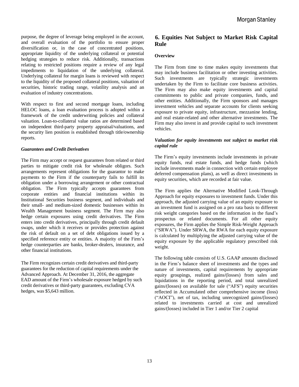purpose, the degree of leverage being employed in the account, and overall evaluation of the portfolio to ensure proper diversification or, in the case of concentrated positions, appropriate liquidity of the underlying collateral or potential hedging strategies to reduce risk. Additionally, transactions relating to restricted positions require a review of any legal impediments to liquidation of the underlying collateral. Underlying collateral for margin loans is reviewed with respect to the liquidity of the proposed collateral positions, valuation of securities, historic trading range, volatility analysis and an evaluation of industry concentrations.

With respect to first and second mortgage loans, including HELOC loans, a loan evaluation process is adopted within a framework of the credit underwriting policies and collateral valuation. Loan-to-collateral value ratios are determined based on independent third-party property appraisal/valuations, and the security lien position is established through title/ownership reports.

#### *Guarantees and Credit Derivatives*

The Firm may accept or request guarantees from related or third parties to mitigate credit risk for wholesale obligors. Such arrangements represent obligations for the guarantor to make payments to the Firm if the counterparty fails to fulfill its obligation under a borrowing arrangement or other contractual obligation. The Firm typically accepts guarantees from corporate entities and financial institutions within its Institutional Securities business segment, and individuals and their small- and medium-sized domestic businesses within its Wealth Management business segment. The Firm may also hedge certain exposures using credit derivatives. The Firm enters into credit derivatives, principally through credit default swaps, under which it receives or provides protection against the risk of default on a set of debt obligations issued by a specified reference entity or entities. A majority of the Firm's hedge counterparties are banks, broker-dealers, insurance, and other financial institutions.

The Firm recognizes certain credit derivatives and third-party guarantees for the reduction of capital requirements under the Advanced Approach. At December 31, 2016, the aggregate EAD amount of the Firm's wholesale exposure hedged by such credit derivatives or third-party guarantees, excluding CVA hedges, was \$5,643 million.

# **6. Equities Not Subject to Market Risk Capital Rule**

#### **Overview**

The Firm from time to time makes equity investments that may include business facilitation or other investing activities. Such investments are typically strategic investments undertaken by the Firm to facilitate core business activities. The Firm may also make equity investments and capital commitments to public and private companies, funds, and other entities. Additionally, the Firm sponsors and manages investment vehicles and separate accounts for clients seeking exposure to private equity, infrastructure, mezzanine lending, and real estate-related and other alternative investments. The Firm may also invest in and provide capital to such investment vehicles.

#### *Valuation for equity investments not subject to market risk capital rule*

The Firm's equity investments include investments in private equity funds, real estate funds, and hedge funds (which include investments made in connection with certain employee deferred compensation plans), as well as direct investments in equity securities, which are recorded at fair value.

The Firm applies the Alternative Modified Look-Through Approach for equity exposures to investment funds. Under this approach, the adjusted carrying value of an equity exposure to an investment fund is assigned on a pro rata basis to different risk weight categories based on the information in the fund's prospectus or related documents. For all other equity exposures, the Firm applies the Simple Risk-Weight Approach ("SRWA"). Under SRWA, the RWA for each equity exposure is calculated by multiplying the adjusted carrying value of the equity exposure by the applicable regulatory prescribed risk weight.

The following table consists of U.S. GAAP amounts disclosed in the Firm's balance sheet of investments and the types and nature of investments, capital requirements by appropriate equity groupings, realized gains/(losses) from sales and liquidations in the reporting period, and total unrealized gains/(losses) on available for sale ("AFS") equity securities reflected in Accumulated other comprehensive income (loss) ("AOCI"), net of tax, including unrecognized gains/(losses) related to investments carried at cost and unrealized gains/(losses) included in Tier 1 and/or Tier 2 capital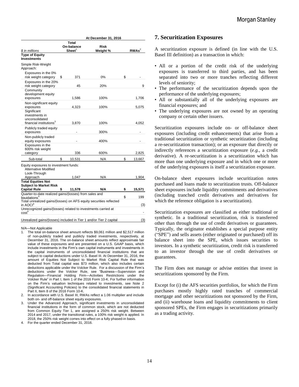|                                                                                                                                                                        |                                                      | At December 31, 2016    |                   |
|------------------------------------------------------------------------------------------------------------------------------------------------------------------------|------------------------------------------------------|-------------------------|-------------------|
| \$ in millions                                                                                                                                                         | Total<br>On-balance<br>$\mathbf{Sheet}^{\mathsf{T}}$ | <b>Risk</b><br>Weight % | RWAs <sup>2</sup> |
| <b>Type of Equity</b><br><b>Investments</b>                                                                                                                            |                                                      |                         |                   |
| Simple Risk-Weight<br>Approach:                                                                                                                                        |                                                      |                         |                   |
| Exposures in the 0%<br>risk weight category                                                                                                                            | \$<br>371                                            | 0%                      | \$                |
| Exposures in the 20%<br>risk weight category                                                                                                                           | 45                                                   | 20%                     | 9                 |
| Community<br>development equity<br>exposures                                                                                                                           | 1,586                                                | 100%                    | 1,706             |
| Non-significant equity<br>exposures                                                                                                                                    | 4,323                                                | 100%                    | 5,075             |
| Significant<br>investments in<br>unconsolidated<br>financial institutions <sup>3</sup>                                                                                 | 3,870                                                | 100%                    | 4,052             |
| Publicly traded equity<br>exposures                                                                                                                                    |                                                      | 300%                    |                   |
| Non-publicly traded<br>equity exposures<br>Exposures in the                                                                                                            |                                                      | 400%                    |                   |
| 600% risk weight<br>category                                                                                                                                           | 336                                                  | 600%                    | 2,825             |
| Sub-total                                                                                                                                                              | \$<br>10,531                                         | N/A                     | \$<br>13,667      |
| Equity exposures to investment funds:<br><b>Alternative Modified</b><br>Look-Through                                                                                   |                                                      |                         |                   |
| Approach                                                                                                                                                               | 1,047                                                | N/A                     | 1,904             |
| <b>Total Equities Not</b><br><b>Subject to Market Risk</b>                                                                                                             |                                                      |                         |                   |
| <b>Capital Rule</b>                                                                                                                                                    | \$<br>11,578                                         | N/A                     | \$<br>15,571      |
| Quarter-to-date realized gains/(losses) from sales and<br>liquidations <sup>4</sup>                                                                                    |                                                      |                         | \$<br>199         |
| Total unrealized gains/(losses) on AFS equity securities reflected<br>in $AOCI4$<br>Unrecognized gains/(losses) related to investments carried at<br>cost <sup>4</sup> |                                                      |                         | (3)               |
| Unrealized gains/(losses) included in Tier 1 and/or Tier 2 capital                                                                                                     |                                                      |                         | (3)               |

#### N/A—Not Applicable

- 1. The total on-balance sheet amount reflects \$9,061 million and \$2,517 million of non-publicly traded and publicly traded investments, respectively, at December 31, 2016. The on-balance sheet amounts reflect approximate fair value of these exposures and are presented on a U.S. GAAP basis, which include investments in the Firm's own capital instruments and investments in the capital instruments of unconsolidated financial institutions that are subject to capital deductions under U.S. Basel III. At December 31, 2016, the amount of Equities Not Subject to Market Risk Capital Rule that was deducted from Total capital was \$73 million, which also includes certain deductions applicable under the Volcker Rule. For a discussion of the Firm's deductions under the Volcker Rule, see "Business—Supervision and Regulation—Financial Holding Firm—Activities Restrictions under the Volcker Rule" in Part I, Item 1 of the 2016 Form 10-K. For further information on the Firm's valuation techniques related to investments, see Note 2 (Significant Accounting Policies) to the consolidated financial statements in Part II, Item 8 of the 2016 Form 10-K.
- 2. In accordance with U.S. Basel III, RWAs reflect a 1.06 multiplier and include both on- and off-balance sheet equity exposures.
- 3. Under the Advanced Approach, significant investments in unconsolidated financial institutions in the form of common stock, which are not deducted from Common Equity Tier 1, are assigned a 250% risk weight. Between 2014 and 2017, under the transitional rules, a 100% risk weight is applied. In 2018, the 250% risk weight comes into effect on a fully phased-in basis.
- 4. For the quarter ended December 31, 2016.

# **7. Securitization Exposures**

A securitization exposure is defined (in line with the U.S. Basel III definition) as a transaction in which:

- All or a portion of the credit risk of the underlying exposures is transferred to third parties, and has been separated into two or more tranches reflecting different levels of seniority;
- The performance of the securitization depends upon the performance of the underlying exposures;
- All or substantially all of the underlying exposures are financial exposures; and
- The underlying exposures are not owned by an operating company or certain other issuers.

Securitization exposures include on- or off-balance sheet exposures (including credit enhancements) that arise from a traditional securitization or synthetic securitization (including a re-securitization transaction); or an exposure that directly or indirectly references a securitization exposure (*e.g.*, a credit derivative). A re-securitization is a securitization which has more than one underlying exposure and in which one or more of the underlying exposures is itself a securitization exposure.

On-balance sheet exposures include securitization notes purchased and loans made to securitization trusts. Off-balance sheet exposures include liquidity commitments and derivatives (including tranched credit derivatives and derivatives for which the reference obligation is a securitization).

Securitization exposures are classified as either traditional or synthetic. In a traditional securitization, risk is transferred other than through the use of credit derivatives or guarantees. Typically, the originator establishes a special purpose entity ("SPE") and sells assets (either originated or purchased) off its balance sheet into the SPE, which issues securities to investors. In a synthetic securitization, credit risk is transferred to an investor through the use of credit derivatives or guarantees.

The Firm does not manage or advise entities that invest in securitizations sponsored by the Firm.

Except for (i) the AFS securities portfolios, for which the Firm purchases mostly highly rated tranches of commercial mortgage and other securitizations not sponsored by the Firm, and (ii) warehouse loans and liquidity commitments to client sponsored SPEs, the Firm engages in securitizations primarily as a trading activity.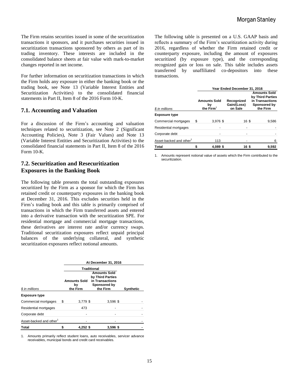The Firm retains securities issued in some of the securitization transactions it sponsors, and it purchases securities issued in securitization transactions sponsored by others as part of its trading inventory. These interests are included in the consolidated balance sheets at fair value with mark-to-market changes reported in net income.

For further information on securitization transactions in which the Firm holds any exposure in either the banking book or the trading book, see Note 13 (Variable Interest Entities and Securitization Activities) to the consolidated financial statements in Part II, Item 8 of the 2016 Form 10-K.

## **7.1. Accounting and Valuation**

For a discussion of the Firm's accounting and valuation techniques related to securitization, see Note 2 (Significant Accounting Policies), Note 3 (Fair Values) and Note 13 (Variable Interest Entities and Securitization Activities) to the consolidated financial statements in Part II, Item 8 of the 2016 Form 10-K.

# **7.2. Securitization and Resecuritization Exposures in the Banking Book**

The following table presents the total outstanding exposures securitized by the Firm as a sponsor for which the Firm has retained credit or counterparty exposures in the banking book at December 31, 2016. This excludes securities held in the Firm's trading book and this table is primarily comprised of transactions in which the Firm transferred assets and entered into a derivative transaction with the securitization SPE. For residential mortgage and commercial mortgage transactions, these derivatives are interest rate and/or currency swaps. Traditional securitization exposures reflect unpaid principal balances of the underlying collateral, and synthetic securitization exposures reflect notional amounts.

|                                     | At December 31, 2016 |                           |          |                  |
|-------------------------------------|----------------------|---------------------------|----------|------------------|
|                                     |                      | <b>Traditional</b>        |          |                  |
|                                     |                      | <b>Amounts Sold</b><br>bγ |          |                  |
| \$ in millions                      |                      | the Firm                  | the Firm | <b>Synthetic</b> |
| <b>Exposure type</b>                |                      |                           |          |                  |
| Commercial mortgages                | S                    | 3,779 \$                  | 3,596 \$ |                  |
| Residential mortgages               |                      | 473                       |          |                  |
| Corporate debt                      |                      |                           |          |                  |
| Asset-backed and other <sup>1</sup> |                      |                           |          |                  |
| <b>Total</b>                        |                      | $4.252$ \$                | 3,596 \$ |                  |

1. Amounts primarily reflect student loans, auto receivables, servicer advance receivables, municipal bonds and credit card receivables.

The following table is presented on a U.S. GAAP basis and reflects a summary of the Firm's securitization activity during 2016, regardless of whether the Firm retained credit or counterparty exposure, including the amount of exposures securitized (by exposure type), and the corresponding recognized gain or loss on sale. This table includes assets transferred by unaffiliated co-depositors into these transactions.

|                             | Year Ended December 31, 2016 |                                          |                                      |                                                                                        |  |  |  |  |
|-----------------------------|------------------------------|------------------------------------------|--------------------------------------|----------------------------------------------------------------------------------------|--|--|--|--|
| \$ in millions              |                              | <b>Amounts Sold</b><br>bγ<br>the $Firm1$ | Recognized<br>Gain/(Loss)<br>on Sale | <b>Amounts Sold</b><br>by Third Parties<br>in Transactions<br>Sponsored by<br>the Firm |  |  |  |  |
| <b>Exposure type</b>        |                              |                                          |                                      |                                                                                        |  |  |  |  |
| Commercial mortgages        | S                            | 3,976 \$                                 | 16 \$                                | 9,586                                                                                  |  |  |  |  |
| Residential mortgages       |                              |                                          |                                      |                                                                                        |  |  |  |  |
| Corporate debt              |                              |                                          |                                      |                                                                                        |  |  |  |  |
| Asset-backed and other $^1$ |                              | 113                                      |                                      | 6                                                                                      |  |  |  |  |
| Total                       |                              | 4,089 \$                                 | 16 \$                                | 9,592                                                                                  |  |  |  |  |

1. Amounts represent notional value of assets which the Firm contributed to the securitization.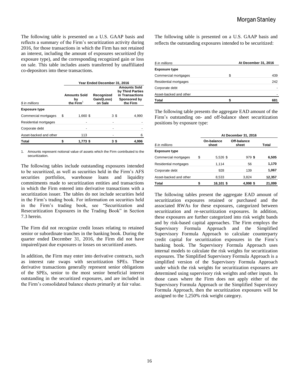The following table is presented on a U.S. GAAP basis and reflects a summary of the Firm's securitization activity during 2016, for those transactions in which the Firm has not retained an interest, including the amount of exposures securitized (by exposure type), and the corresponding recognized gain or loss on sale. This table includes assets transferred by unaffiliated co-depositors into these transactions.

|                        | Year Ended December 31, 2016 |                                          |                                      |                                                                                        |  |  |  |  |
|------------------------|------------------------------|------------------------------------------|--------------------------------------|----------------------------------------------------------------------------------------|--|--|--|--|
| \$ in millions         |                              | <b>Amounts Sold</b><br>bγ<br>the $Firm1$ | Recognized<br>Gain/(Loss)<br>on Sale | <b>Amounts Sold</b><br>by Third Parties<br>in Transactions<br>Sponsored by<br>the Firm |  |  |  |  |
| <b>Exposure type</b>   |                              |                                          |                                      |                                                                                        |  |  |  |  |
| Commercial mortgages   | S                            | 1.660 \$                                 | 3\$                                  | 4,990                                                                                  |  |  |  |  |
| Residential mortgages  |                              |                                          |                                      |                                                                                        |  |  |  |  |
| Corporate debt         |                              |                                          |                                      |                                                                                        |  |  |  |  |
| Asset-backed and other |                              | 113                                      |                                      | 6                                                                                      |  |  |  |  |
| <b>Total</b>           |                              | 1,773 \$                                 | 3\$                                  | 4,996                                                                                  |  |  |  |  |

1. Amounts represent notional value of assets which the Firm contributed to the securitization.

The following tables include outstanding exposures intended to be securitized, as well as securities held in the Firm's AFS securities portfolios, warehouse loans and liquidity commitments made to securitization entities and transactions in which the Firm entered into derivative transactions with a securitization issuer. The tables do not include securities held in the Firm's trading book. For information on securities held in the Firm's trading book, see "Securitization and Resecuritization Exposures in the Trading Book" in Section 7.3 herein.

The Firm did not recognize credit losses relating to retained senior or subordinate tranches in the banking book. During the quarter ended December 31, 2016, the Firm did not have impaired/past due exposures or losses on securitized assets.

In addition, the Firm may enter into derivative contracts, such as interest rate swaps with securitization SPEs. These derivative transactions generally represent senior obligations of the SPEs, senior to the most senior beneficial interest outstanding in the securitized exposures, and are included in the Firm's consolidated balance sheets primarily at fair value.

The following table is presented on a U.S. GAAP basis and reflects the outstanding exposures intended to be securitized:

| \$ in millions         | At December 31, 2016 |  |  |
|------------------------|----------------------|--|--|
| <b>Exposure type</b>   |                      |  |  |
| Commercial mortgages   | \$<br>439            |  |  |
| Residential mortgages  | 242                  |  |  |
| Corporate debt         |                      |  |  |
| Asset-backed and other |                      |  |  |
| Total                  | 681                  |  |  |

The following table presents the aggregate EAD amount of the Firm's outstanding on- and off-balance sheet securitization positions by exposure type:

|                        |    |                     | At December 31, 2016 |        |  |  |  |  |
|------------------------|----|---------------------|----------------------|--------|--|--|--|--|
| \$ in millions         |    | On-balance<br>sheet | Off-balance<br>sheet | Total  |  |  |  |  |
| <b>Exposure type</b>   |    |                     |                      |        |  |  |  |  |
| Commercial mortgages   | \$ | 5,526 \$            | $979$ \$             | 6,505  |  |  |  |  |
| Residential mortgages  |    | 1,114               | 56                   | 1,170  |  |  |  |  |
| Corporate debt         |    | 928                 | 139                  | 1,067  |  |  |  |  |
| Asset-backed and other |    | 8,533               | 3,824                | 12,357 |  |  |  |  |
| <b>Total</b>           |    | 16,101 \$           | 4,998 \$             | 21,099 |  |  |  |  |

The following tables present the aggregate EAD amount of securitization exposures retained or purchased and the associated RWAs for these exposures, categorized between securitization and re-securitization exposures. In addition, these exposures are further categorized into risk weight bands and by risk-based capital approaches. The Firm employs the Supervisory Formula Approach and the Simplified Supervisory Formula Approach to calculate counterparty credit capital for securitization exposures in the Firm's banking book. The Supervisory Formula Approach uses internal models to calculate the risk weights for securitization exposures. The Simplified Supervisory Formula Approach is a simplified version of the Supervisory Formula Approach under which the risk weights for securitization exposures are determined using supervisory risk weights and other inputs. In those cases where the Firm does not apply either of the Supervisory Formula Approach or the Simplified Supervisory Formula Approach, then the securitization exposures will be assigned to the 1,250% risk weight category.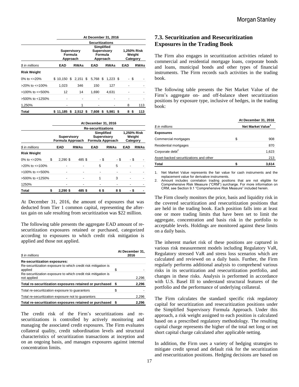|                          | At December 31, 2016 |                                                                                               |             |  |       |    |                                   |    |            |      |             |
|--------------------------|----------------------|-----------------------------------------------------------------------------------------------|-------------|--|-------|----|-----------------------------------|----|------------|------|-------------|
|                          |                      | <b>Securitizations</b>                                                                        |             |  |       |    |                                   |    |            |      |             |
|                          |                      | Simplified<br>Supervisory<br><b>Supervisory</b><br>Formula<br>Formula<br>Approach<br>Approach |             |  |       |    | 1,250% Risk<br>Weight<br>Category |    |            |      |             |
| \$ in millions           | EAD                  |                                                                                               | <b>RWAs</b> |  | EAD   |    | <b>RWAs</b>                       |    | <b>EAD</b> |      | <b>RWAs</b> |
| Risk Weight              |                      |                                                                                               |             |  |       |    |                                   |    |            |      |             |
| 0% to $\epsilon$ =20%    | \$10.150             | \$                                                                                            | $2.151$ \$  |  | 5.768 | \$ | $1,223$ \$                        |    |            | - \$ |             |
| $>20\%$ to $\leq 100\%$  | 1,023                |                                                                                               | 346         |  | 150   |    | 127                               |    |            |      |             |
| $>100\%$ to $\leq 500\%$ | 12                   |                                                                                               | 14          |  | 1,690 |    | 4.631                             |    |            |      |             |
| >500% to <1250%          |                      |                                                                                               |             |  |       |    |                                   |    |            |      |             |
| 1,250%                   |                      |                                                                                               | 1           |  |       |    |                                   |    | 8          |      | 113         |
| Total                    | \$11.185             |                                                                                               | $$2,512$ \$ |  | 7,608 | \$ | 5.981                             | \$ | 8          | \$   | 113         |

|                          | At December 31, 2016      |                                        |             |                                                             |             |                                   |             |  |
|--------------------------|---------------------------|----------------------------------------|-------------|-------------------------------------------------------------|-------------|-----------------------------------|-------------|--|
|                          | <b>Re-securitizations</b> |                                        |             |                                                             |             |                                   |             |  |
|                          |                           | <b>Supervisory</b><br>Formula Approach |             | <b>Simplified</b><br><b>Supervisory</b><br>Formula Approach |             | 1.250% Risk<br>Weight<br>Category |             |  |
| \$ in millions           |                           | EAD                                    | <b>RWAs</b> | EAD                                                         | <b>RWAs</b> | EAD                               | <b>RWAs</b> |  |
| <b>Risk Weight</b>       |                           |                                        |             |                                                             |             |                                   |             |  |
| 0% to $\leq$ 20%         | \$                        | $2,290$ \$                             | 485 \$      | - \$                                                        | - \$        | - \$                              |             |  |
| $>20\%$ to $\leq 100\%$  |                           |                                        |             | 5                                                           | 5           |                                   |             |  |
| $>100\%$ to $\leq 500\%$ |                           |                                        |             |                                                             |             |                                   |             |  |
| >500% to <1250%          |                           |                                        |             | 1                                                           | 3           |                                   |             |  |
| 1250%                    |                           |                                        |             |                                                             |             |                                   |             |  |
| Total                    |                           | $2,290$ \$                             | 485 \$      | 65                                                          | 8\$         |                                   | S           |  |

At December 31, 2016, the amount of exposures that was deducted from Tier 1 common capital, representing the aftertax gain on sale resulting from securitization was \$22 million.

The following table presents the aggregate EAD amount of resecuritization exposures retained or purchased, categorized according to exposures to which credit risk mitigation is applied and those not applied.

| \$ in millions                                                               | At December 31,<br>2016 |       |  |  |
|------------------------------------------------------------------------------|-------------------------|-------|--|--|
| <b>Re-securitization exposures:</b>                                          |                         |       |  |  |
| Re-securitization exposure to which credit risk mitigation is<br>applied     | S                       |       |  |  |
| Re-securitization exposure to which credit risk mitigation is<br>not applied |                         | 2,296 |  |  |
| Total re-securitization exposures retained or purchased                      | S                       | 2,296 |  |  |
| Total re-securitization exposure to quarantors                               | S                       |       |  |  |
| Total re-securitization exposure not to quarantors                           |                         | 2,296 |  |  |
| Total re-securitization exposures retained or purchased \$                   |                         | 2.296 |  |  |

The credit risk of the Firm's securitizations and resecuritizations is controlled by actively monitoring and managing the associated credit exposures. The Firm evaluates collateral quality, credit subordination levels and structural characteristics of securitization transactions at inception and on an ongoing basis, and manages exposures against internal concentration limits.

# **7.3. Securitization and Resecuritization Exposures in the Trading Book**

The Firm also engages in securitization activities related to commercial and residential mortgage loans, corporate bonds and loans, municipal bonds and other types of financial instruments. The Firm records such activities in the trading book.

The following table presents the Net Market Value of the Firm's aggregate on- and off-balance sheet securitization positions by exposure type, inclusive of hedges, in the trading book:

|                                        | At December 31, 2016          |       |  |  |  |
|----------------------------------------|-------------------------------|-------|--|--|--|
| \$ in millions                         | Net Market Value <sup>1</sup> |       |  |  |  |
| <b>Exposures</b>                       |                               |       |  |  |  |
| Commercial mortgages                   | S                             | 908   |  |  |  |
| Residential mortgages                  |                               | 870   |  |  |  |
| Corporate debt <sup>2</sup>            |                               | 1,623 |  |  |  |
| Asset-backed securitizations and other |                               | 213   |  |  |  |
| Total                                  |                               | 3,614 |  |  |  |

1. Net Market Value represents the fair value for cash instruments and the replacement value for derivative instruments.

Amount includes correlation trading positions that are not eligible for Comprehensive Risk Measure ("CRM") surcharge. For more information on CRM, see Section 9.1 "Comprehensive Risk Measure" included herein.

The Firm closely monitors the price, basis and liquidity risk in the covered securitization and resecuritization positions that are held in the trading book. Each position falls into at least one or more trading limits that have been set to limit the aggregate, concentration and basis risk in the portfolio to acceptable levels. Holdings are monitored against these limits on a daily basis.

The inherent market risk of these positions are captured in various risk measurement models including Regulatory VaR, Regulatory stressed VaR and stress loss scenarios which are calculated and reviewed on a daily basis. Further, the Firm regularly performs additional analysis to comprehend various risks in its securitization and resecuritization portfolio, and changes in these risks. Analysis is performed in accordance with U.S. Basel III to understand structural features of the portfolio and the performance of underlying collateral.

The Firm calculates the standard specific risk regulatory capital for securitization and resecuritization positions under the Simplified Supervisory Formula Approach. Under this approach, a risk weight assigned to each position is calculated based on a prescribed regulatory methodology. The resulting capital charge represents the higher of the total net long or net short capital charge calculated after applicable netting.

In addition, the Firm uses a variety of hedging strategies to mitigate credit spread and default risk for the securitization and resecuritization positions. Hedging decisions are based on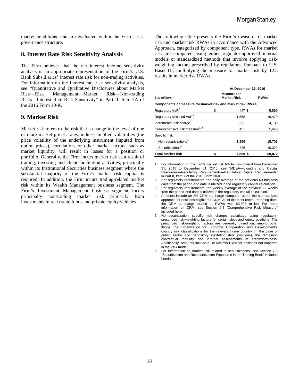market conditions, and are evaluated within the Firm's risk governance structure.

#### **8. Interest Rate Risk Sensitivity Analysis**

The Firm believes that the net interest income sensitivity analysis is an appropriate representation of the Firm's U.S. Bank Subsidiaries' interest rate risk for non-trading activities. For information on the interest rate risk sensitivity analysis, see "Quantitative and Qualitative Disclosures about Market Risk—Risk Management—Market Risk—Non-trading Risks—Interest Rate Risk Sensitivity" in Part II, Item 7A of the 2016 Form 10-K.

## **9. Market Risk**

Market risk refers to the risk that a change in the level of one or more market prices, rates, indices, implied volatilities (the price volatility of the underlying instrument imputed from option prices), correlations or other market factors, such as market liquidity, will result in losses for a position or portfolio. Generally, the Firm incurs market risk as a result of trading, investing and client facilitation activities, principally within its Institutional Securities business segment where the substantial majority of the Firm's market risk capital is required. In addition, the Firm incurs trading-related market risk within its Wealth Management business segment. The Firm's Investment Management business segment incurs principally non-trading market risk primarily from investments in real estate funds and private equity vehicles.

The following table presents the Firm's measure for market risk and market risk RWAs in accordance with the Advanced Approach, categorized by component type. RWAs for market risk are computed using either regulator-approved internal models or standardized methods that involve applying riskweighting factors prescribed by regulators. Pursuant to U.S. Basel III, multiplying the measure for market risk by 12.5 results in market risk RWAs.

|                                                            | At December 31, 2016 |                                          |                   |  |  |  |
|------------------------------------------------------------|----------------------|------------------------------------------|-------------------|--|--|--|
| \$ in millions                                             |                      | <b>Measure for</b><br><b>Market Risk</b> | RWAs <sup>1</sup> |  |  |  |
| Components of measure for market risk and market risk RWAs |                      |                                          |                   |  |  |  |
| Regulatory VaR <sup>2</sup>                                | \$                   | 447 \$                                   | 5,589             |  |  |  |
| Regulatory stressed VaR <sup>3</sup>                       |                      | 1,558                                    | 19,479            |  |  |  |
| Incremental risk charge <sup>3</sup>                       |                      | 331                                      | 4,139             |  |  |  |
| Comprehensive risk measure <sup>3, 4</sup>                 |                      | 451                                      | 5,640             |  |  |  |
| Specific risk:                                             |                      |                                          |                   |  |  |  |
| Non-securitizations <sup>5</sup>                           |                      | 1,256                                    | 15,703            |  |  |  |
| Securitizations <sup>6</sup>                               |                      | 826                                      | 10,322            |  |  |  |
| <b>Total market risk</b>                                   |                      | $4.869$ \$                               | 60,872            |  |  |  |

1. For information on the Firm's market risk RWAs roll-forward from December 31, 2015 to December 31, 2016, see "MD&A—Liquidity and Capital Resources—Regulatory Requirements—Regulatory Capital Requirements" in Part II, Item 7 of the 2016 Form 10-K.

2. Per regulatory requirements, the daily average of the previous 60 business days from the period-end date is utilized in the regulatory capital calculation.

3. Per regulatory requirements, the weekly average of the previous 12 weeks from the period-end date is utilized in the regulatory capital calculation.

4. Amounts include an 8% CRM surcharge computed under the standardized approach for positions eligible for CRM. As of the most recent reporting date, the CRM surcharge related to RWAs was \$3,928 million. For more information on CRM, see Section 9.1 "Comprehensive Risk Measure" included herein.

5. Non-securitization specific risk charges calculated using regulatoryprescribed risk-weighting factors for certain debt and equity positions. The prescribed risk-weighting factors are generally based on, among other things, the Organization for Economic Cooperation and Development's country risk classifications for the relevant home country (in the case of public sector and depository institution debt positions), the remaining contractual maturity and internal assessments of creditworthiness. Additionally, amounts include a De Minimis RWA for positions not captured in the VaR model.

6. For information on market risk related to securitizations, see Section 7.3 "Securitization and Resecuritization Exposures in the Trading Book" included herein.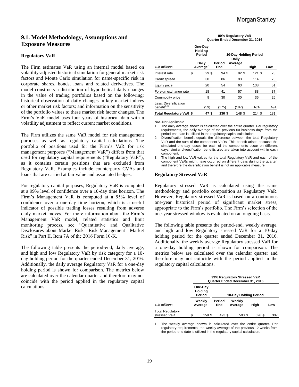# **9.1. Model Methodology, Assumptions and Exposure Measures**

#### **Regulatory VaR**

The Firm estimates VaR using an internal model based on volatility-adjusted historical simulation for general market risk factors and Monte Carlo simulation for name-specific risk in corporate shares, bonds, loans and related derivatives. The model constructs a distribution of hypothetical daily changes in the value of trading portfolios based on the following: historical observation of daily changes in key market indices or other market risk factors; and information on the sensitivity of the portfolio values to these market risk factor changes. The Firm's VaR model uses four years of historical data with a volatility adjustment to reflect current market conditions.

The Firm utilizes the same VaR model for risk management purposes as well as regulatory capital calculations. The portfolio of positions used for the Firm's VaR for risk management purposes ("Management VaR") differs from that used for regulatory capital requirements ("Regulatory VaR"), as it contains certain positions that are excluded from Regulatory VaR. Examples include counterparty CVAs and loans that are carried at fair value and associated hedges.

For regulatory capital purposes, Regulatory VaR is computed at a 99% level of confidence over a 10-day time horizon. The Firm's Management VaR is computed at a 95% level of confidence over a one-day time horizon, which is a useful indicator of possible trading losses resulting from adverse daily market moves. For more information about the Firm's Management VaR model, related statistics and limit monitoring process, see "Quantitative and Qualitative Disclosures about Market Risk—Risk Management—Market Risk" in Part II, Item 7A of the 2016 Form 10-K.

The following table presents the period-end, daily average, and high and low Regulatory VaR by risk category for a 10 day holding period for the quarter ended December 31, 2016. Additionally, the daily average Regulatory VaR for a one-day holding period is shown for comparison. The metrics below are calculated over the calendar quarter and therefore may not coincide with the period applied in the regulatory capital calculations.

|                                           | 99% Regulatory VaR<br>Quarter Ended December 31, 2016 |                                     |                       |  |                  |        |     |  |  |
|-------------------------------------------|-------------------------------------------------------|-------------------------------------|-----------------------|--|------------------|--------|-----|--|--|
|                                           |                                                       | One-Day<br><b>Holding</b><br>Period | 10-Day Holding Period |  |                  |        |     |  |  |
| \$ in millions                            |                                                       | Daily<br>Average <sup>1</sup>       | Period<br>End         |  | Daily<br>Average | High   | Low |  |  |
| Interest rate                             | \$                                                    | 29\$                                | 94\$                  |  | 92S              | 121S   | 73  |  |  |
| Credit spread                             |                                                       | 30                                  | 86                    |  | 93               | 114    | 75  |  |  |
| Equity price                              |                                                       | 20                                  | 54                    |  | 63               | 138    | 51  |  |  |
| Foreign exchange rate                     |                                                       | 18                                  | 41                    |  | 57               | 88     | 37  |  |  |
| Commodity price                           |                                                       | 9                                   | 30                    |  | 30               | 36     | 26  |  |  |
| Less: Diversification<br>benefit $^{2,3}$ |                                                       | (59)                                | (175)                 |  | (187)            | N/A    | N/A |  |  |
| Total Regulatory VaR \$                   |                                                       | 47 \$                               | 130\$                 |  | 148 \$           | 214 \$ | 131 |  |  |

N/A–Not Applicable

- 1. The daily average shown is calculated over the entire quarter. Per regulatory requirements, the daily average of the previous 60 business days from the period-end date is utilized in the regulatory capital calculation.
- 2. Diversification benefit equals the difference between the total Regulatory VaR and the sum of the component VaRs. This benefit arises because the simulated one-day losses for each of the components occur on different days; similar diversification benefits also are taken into account within each component.
- The high and low VaR values for the total Regulatory VaR and each of the component VaRs might have occurred on different days during the quarter, and therefore the diversification benefit is not an applicable measure.

#### **Regulatory Stressed VaR**

Regulatory stressed VaR is calculated using the same methodology and portfolio composition as Regulatory VaR. However, Regulatory stressed VaR is based on a continuous one-year historical period of significant market stress, appropriate to the Firm's portfolio. The Firm's selection of the one-year stressed window is evaluated on an ongoing basis.

The following table presents the period-end, weekly average, and high and low Regulatory stressed VaR for a 10-day holding period for the quarter ended December 31, 2016. Additionally, the weekly average Regulatory stressed VaR for a one-day holding period is shown for comparison. The metrics below are calculated over the calendar quarter and therefore may not coincide with the period applied in the regulatory capital calculations.

|                                         | 99% Regulatory Stressed VaR<br>Quarter Ended December 31, 2016 |                                     |                       |                   |        |     |  |  |
|-----------------------------------------|----------------------------------------------------------------|-------------------------------------|-----------------------|-------------------|--------|-----|--|--|
|                                         |                                                                | One-Day<br><b>Holding</b><br>Period | 10-Day Holding Period |                   |        |     |  |  |
| \$ in millions                          |                                                                | Weekly<br>Average                   | Period<br>End         | Weekly<br>Average | Hiah   | Low |  |  |
| <b>Total Regulatory</b><br>stressed VaR | \$                                                             | 159 \$                              | 493 \$                | 503 \$            | 626 \$ | 307 |  |  |

1. The weekly average shown is calculated over the entire quarter. Per regulatory requirements, the weekly average of the previous 12 weeks from the period-end date is utilized in the regulatory capital calculation.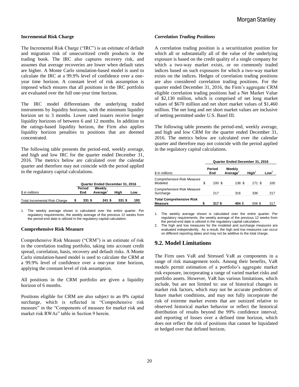#### **Incremental Risk Charge**

The Incremental Risk Charge ("IRC") is an estimate of default and migration risk of unsecuritized credit products in the trading book. The IRC also captures recovery risk, and assumes that average recoveries are lower when default rates are higher. A Monte Carlo simulation-based model is used to calculate the IRC at a 99.9% level of confidence over a oneyear time horizon. A constant level of risk assumption is imposed which ensures that all positions in the IRC portfolio are evaluated over the full one-year time horizon.

The IRC model differentiates the underlying traded instruments by liquidity horizons, with the minimum liquidity horizon set to 3 months. Lower rated issuers receive longer liquidity horizons of between 6 and 12 months. In addition to the ratings-based liquidity horizon, the Firm also applies liquidity horizon penalties to positions that are deemed concentrated.

The following table presents the period-end, weekly average, and high and low IRC for the quarter ended December 31, 2016. The metrics below are calculated over the calendar quarter and therefore may not coincide with the period applied in the regulatory capital calculations.

|                                      | Quarter Ended December 31, 2016 |                                |        |     |  |
|--------------------------------------|---------------------------------|--------------------------------|--------|-----|--|
| \$ in millions                       | Period<br>End                   | Weekly<br>Average <sup>1</sup> | Hiah   | Low |  |
| <b>Total Incremental Risk Charge</b> | 331 \$                          | $241$ \$                       | 331 \$ | 193 |  |

1. The weekly average shown is calculated over the entire quarter. Per regulatory requirements, the weekly average of the previous 12 weeks from the period-end date is utilized in the regulatory capital calculation.

#### **Comprehensive Risk Measure**

Comprehensive Risk Measure ("CRM") is an estimate of risk in the correlation trading portfolio, taking into account credit spread, correlation, basis, recovery and default risks. A Monte Carlo simulation-based model is used to calculate the CRM at a 99.9% level of confidence over a one-year time horizon, applying the constant level of risk assumption.

All positions in the CRM portfolio are given a liquidity horizon of 6 months.

Positions eligible for CRM are also subject to an 8% capital surcharge, which is reflected in "Comprehensive risk measure" in the "Components of measure for market risk and market risk RWAs" table in Section 9 herein.

#### *Correlation Trading Positions*

A correlation trading position is a securitization position for which all or substantially all of the value of the underlying exposure is based on the credit quality of a single company for which a two-way market exists, or on commonly traded indices based on such exposures for which a two-way market exists on the indices. Hedges of correlation trading positions are also considered correlation trading positions. For the quarter ended December 31, 2016, the Firm's aggregate CRM eligible correlation trading positions had a Net Market Value of \$2,130 million, which is comprised of net long market values of \$670 million and net short market values of \$1,460 million. The net long and net short market values are inclusive of netting permitted under U.S. Basel III.

The following table presents the period-end, weekly average, and high and low CRM for the quarter ended December 31, 2016. The metrics below are calculated over the calendar quarter and therefore may not coincide with the period applied in the regulatory capital calculations.

|                                                   | Quarter Ended December 31, 2016 |               |                   |                   |                  |  |  |
|---------------------------------------------------|---------------------------------|---------------|-------------------|-------------------|------------------|--|--|
| \$ in millions                                    |                                 | Period<br>End | Weekly<br>Average | $\mathsf{Hiah}^2$ | Low <sup>2</sup> |  |  |
| <b>Comprehensive Risk Measure</b><br>Modeled      | \$                              | 100S          | 138 \$            | 171 S             | 100              |  |  |
| <b>Comprehensive Risk Measure</b><br>Surcharge    |                                 | 217           | 316               | 336               | 217              |  |  |
| <b>Total Comprehensive Risk</b><br><b>Measure</b> | \$                              | 317 S         | 454 \$            | 506 \$            | 317              |  |  |

1. The weekly average shown is calculated over the entire quarter. Per regulatory requirements, the weekly average of the previous 12 weeks from the period-end date is utilized in the regulatory capital calculation.

2. The high and low measures for the modeled and surcharge measures are evaluated independently. As a result, the high and low measures can occur on different reporting dates and may not be additive to the total charge.

#### **9.2. Model Limitations**

The Firm uses VaR and Stressed VaR as components in a range of risk management tools. Among their benefits, VaR models permit estimation of a portfolio's aggregate market risk exposure, incorporating a range of varied market risks and portfolio assets. However, VaR has various limitations, which include, but are not limited to: use of historical changes in market risk factors, which may not be accurate predictors of future market conditions, and may not fully incorporate the risk of extreme market events that are outsized relative to observed historical market behavior or reflect the historical distribution of results beyond the 99% confidence interval; and reporting of losses over a defined time horizon, which does not reflect the risk of positions that cannot be liquidated or hedged over that defined horizon.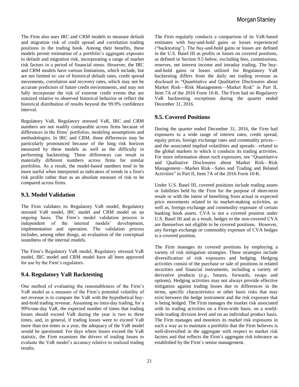The Firm also uses IRC and CRM models to measure default and migration risk of credit spread and correlation trading positions in the trading book. Among their benefits, these models permit estimation of a portfolio's aggregate exposure to default and migration risk, incorporating a range of market risk factors in a period of financial stress. However, the IRC and CRM models have various limitations, which include, but are not limited to: use of historical default rates, credit spread movements, correlation and recovery rates, which may not be accurate predictors of future credit environments, and may not fully incorporate the risk of extreme credit events that are outsized relative to observed historical behavior or reflect the historical distribution of results beyond the 99.9% confidence interval.

Regulatory VaR, Regulatory stressed VaR, IRC and CRM numbers are not readily comparable across firms because of differences in the firms' portfolios, modeling assumptions and methodologies. In IRC and CRM, those differences may be particularly pronounced because of the long risk horizon measured by these models as well as the difficulty in performing backtesting. These differences can result in materially different numbers across firms for similar portfolios. As a result, the model-based numbers tend to be more useful when interpreted as indicators of trends in a firm's risk profile rather than as an absolute measure of risk to be compared across firms.

# **9.3. Model Validation**

The Firm validates its Regulatory VaR model, Regulatory stressed VaR model, IRC model and CRM model on an ongoing basis. The Firm's model validation process is independent of the internal models' development, implementation and operation. The validation process includes, among other things, an evaluation of the conceptual soundness of the internal models.

The Firm's Regulatory VaR model, Regulatory stressed VaR model, IRC model and CRM model have all been approved for use by the Firm's regulators.

# **9.4. Regulatory VaR Backtesting**

One method of evaluating the reasonableness of the Firm's VaR model as a measure of the Firm's potential volatility of net revenue is to compare the VaR with the hypothetical buyand-hold trading revenue. Assuming no intra-day trading, for a 99%/one-day VaR, the expected number of times that trading losses should exceed VaR during the year is two to three times, and, in general, if trading losses were to exceed VaR more than ten times in a year, the adequacy of the VaR model would be questioned. For days where losses exceed the VaR statistic, the Firm examines the drivers of trading losses to evaluate the VaR model's accuracy relative to realized trading results.

The Firm regularly conducts a comparison of its VaR-based estimates with buy-and-hold gains or losses experienced ("backtesting"). The buy-and-hold gains or losses are defined in the U.S. Basel III as profits or losses on covered positions, as defined in Section 9.5 below, excluding fees, commissions, reserves, net interest income and intraday trading. The buyand-hold gains or losses utilized for Regulatory VaR backtesting differs from the daily net trading revenue as disclosed in "Quantitative and Qualitative Disclosures about Market Risk—Risk Management—Market Risk" in Part II, Item 7A of the 2016 Form 10-K. The Firm had no Regulatory VaR backtesting exceptions during the quarter ended December 31, 2016.

# **9.5. Covered Positions**

During the quarter ended December 31, 2016, the Firm had exposures to a wide range of interest rates, credit spread, equity prices, foreign exchange rates and commodity prices and the associated implied volatilities and spreads—related to the global markets in which it conducts its trading activities. For more information about such exposures, see "Quantitative and Qualitative Disclosures about Market Risk—Risk Management—Market Risk—Sales and Trading and Related Activities" in Part II, Item 7A of the 2016 Form 10-K.

Under U.S. Basel III, covered positions include trading assets or liabilities held by the Firm for the purpose of short-term resale or with the intent of benefiting from actual or expected price movements related to its market-making activities, as well as, foreign exchange and commodity exposure of certain banking book assets. CVA is not a covered position under U.S. Basel III and as a result, hedges to the non-covered CVA are themselves not eligible to be covered positions. However, any foreign exchange or commodity exposure of CVA hedges is a covered position.

The Firm manages its covered positions by employing a variety of risk mitigation strategies. These strategies include diversification of risk exposures and hedging. Hedging activities consist of the purchase or sale of positions in related securities and financial instruments, including a variety of derivative products (*e.g.*, futures, forwards, swaps and options). Hedging activities may not always provide effective mitigation against trading losses due to differences in the terms, specific characteristics or other basis risks that may exist between the hedge instrument and the risk exposure that is being hedged. The Firm manages the market risk associated with its trading activities on a Firm-wide basis, on a worldwide trading division level and on an individual product basis. The Firm manages and monitors its market risk exposures in such a way as to maintain a portfolio that the Firm believes is well-diversified in the aggregate with respect to market risk factors and that reflects the Firm's aggregate risk tolerance as established by the Firm's senior management.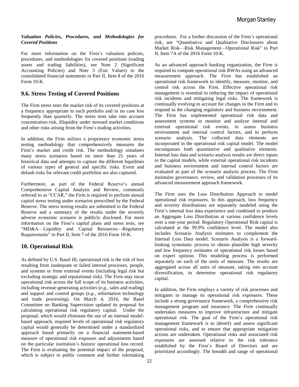#### *Valuation Policies, Procedures, and Methodologies for Covered Positions*

For more information on the Firm's valuation policies, procedures, and methodologies for covered positions (trading assets and trading liabilities), see Note 2 (Significant Accounting Policies) and Note 3 (Fair Values) to the consolidated financial statements in Part II, Item 8 of the 2016 Form 10-K.

# **9.6. Stress Testing of Covered Positions**

The Firm stress tests the market risk of its covered positions at a frequency appropriate to each portfolio and in no case less frequently than quarterly. The stress tests take into account concentration risk, illiquidity under stressed market conditions and other risks arising from the Firm's trading activities.

In addition, the Firm utilizes a proprietary economic stress testing methodology that comprehensively measures the Firm's market and credit risk. The methodology simulates many stress scenarios based on more than 25 years of historical data and attempts to capture the different liquidities of various types of general and specific risks. Event and default risks for relevant credit portfolios are also captured.

Furthermore, as part of the Federal Reserve's annual Comprehensive Capital Analysis and Review, commonly referred to as "CCAR," the Firm is required to perform annual capital stress testing under scenarios prescribed by the Federal Reserve. The stress testing results are submitted to the Federal Reserve and a summary of the results under the severely adverse economic scenario is publicly disclosed. For more information on the Firm's capital plans and stress tests, see "MD&A—Liquidity and Capital Resources—Regulatory Requirements" in Part II, Item 7 of the 2016 Form 10-K.

# **10. Operational Risk**

As defined by U.S. Basel III, operational risk is the risk of loss resulting from inadequate or failed internal processes, people, and systems or from external events (including legal risk but excluding strategic and reputational risk). The Firm may incur operational risk across the full scope of its business activities, including revenue-generating activities (*e.g.*, sales and trading) and support and control groups (*e.g.*, information technology and trade processing). On March 4, 2016, the Basel Committee on Banking Supervision updated its proposal for calculating operational risk regulatory capital. Under the proposal, which would eliminate the use of an internal modelbased approach, required levels of operational risk regulatory capital would generally be determined under a standardized approach based primarily on a financial statement-based measure of operational risk exposure and adjustments based on the particular institution's historic operational loss record. The Firm is evaluating the potential impact of the proposal, which is subject to public comment and further rulemaking procedures. For a further discussion of the Firm's operational risk, see "Quantitative and Qualitative Disclosures about Market Risk—Risk Management—Operational Risk" in Part II, Item 7A of the 2016 Form 10-K.

As an advanced approach banking organization, the Firm is required to compute operational risk RWAs using an advanced measurement approach. The Firm has established an operational risk framework to identify, measure, monitor, and control risk across the Firm. Effective operational risk management is essential to reducing the impact of operational risk incidents and mitigating legal risks. The framework is continually evolving to account for changes in the Firm and to respond to the changing regulatory and business environment. The Firm has implemented operational risk data and assessment systems to monitor and analyze internal and external operational risk events, to assess business environment and internal control factors, and to perform scenario analysis. The collected data elements are incorporated in the operational risk capital model. The model encompasses both quantitative and qualitative elements. Internal loss data and scenario analysis results are direct inputs to the capital models, while external operational risk incidents and business environment and internal control factors are evaluated as part of the scenario analysis process. The Firm maintains governance, review, and validation processes of its advanced measurement approach framework.

The Firm uses the Loss Distribution Approach to model operational risk exposures. In this approach, loss frequency and severity distributions are separately modeled using the Firm's internal loss data experience and combined to produce an Aggregate Loss Distribution at various confidence levels over a one-year period. Regulatory Operational Risk capital is calculated at the 99.9% confidence level. The model also includes Scenario Analysis estimates to complement the Internal Loss Data model. Scenario Analysis is a forwardlooking systematic process to obtain plausible high severity and low frequency estimates of operational risk losses based on expert opinion. This modeling process is performed separately on each of the units of measure. The results are aggregated across all units of measure, taking into account diversification, to determine operational risk regulatory capital.

In addition, the Firm employs a variety of risk processes and mitigants to manage its operational risk exposures. These include a strong governance framework, a comprehensive risk management program and insurance. The Firm continually undertakes measures to improve infrastructure and mitigate operational risk. The goal of the Firm's operational risk management framework is to identify and assess significant operational risks, and to ensure that appropriate mitigation actions are undertaken. Operational risks and associated risk exposures are assessed relative to the risk tolerance established by the Firm's Board of Directors and are prioritized accordingly. The breadth and range of operational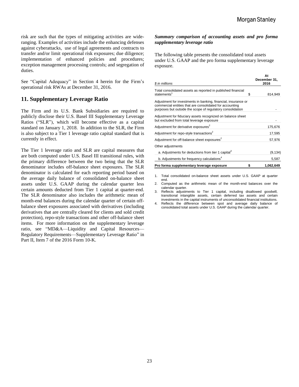risk are such that the types of mitigating activities are wideranging. Examples of activities include the enhancing defenses against cyberattacks, use of legal agreements and contracts to transfer and/or limit operational risk exposures; due diligence; implementation of enhanced policies and procedures; exception management processing controls; and segregation of duties.

See "Capital Adequacy" in Section 4 herein for the Firm's operational risk RWAs at December 31, 2016.

# **11. Supplementary Leverage Ratio**

The Firm and its U.S. Bank Subsidiaries are required to publicly disclose their U.S. Basel III Supplementary Leverage Ratios ("SLR"), which will become effective as a capital standard on January 1, 2018. In addition to the SLR, the Firm is also subject to a Tier 1 leverage ratio capital standard that is currently in effect.

The Tier 1 leverage ratio and SLR are capital measures that are both computed under U.S. Basel III transitional rules, with the primary difference between the two being that the SLR denominator includes off-balance sheet exposures. The SLR denominator is calculated for each reporting period based on the average daily balance of consolidated on-balance sheet assets under U.S. GAAP during the calendar quarter less certain amounts deducted from Tier 1 capital at quarter-end. The SLR denominator also includes the arithmetic mean of month-end balances during the calendar quarter of certain offbalance sheet exposures associated with derivatives (including derivatives that are centrally cleared for clients and sold credit protection), repo-style transactions and other off-balance sheet items. For more information on the supplementary leverage ratio, see "MD&A—Liquidity and Capital Resources— Regulatory Requirements—Supplementary Leverage Ratio" in Part II, Item 7 of the 2016 Form 10-K.

#### *Summary comparison of accounting assets and pro forma supplementary leverage ratio*

The following table presents the consolidated total assets under U.S. GAAP and the pro forma supplementary leverage exposure.

| \$ in millions                                                                                                                                                                           | At<br>December 31,<br>2016 |
|------------------------------------------------------------------------------------------------------------------------------------------------------------------------------------------|----------------------------|
| Total consolidated assets as reported in published financial<br>statements <sup>1</sup>                                                                                                  | \$<br>814,949              |
| Adjustment for investments in banking, financial, insurance or<br>commercial entities that are consolidated for accounting<br>purposes but outside the scope of regulatory consolidation |                            |
| Adjustment for fiduciary assets recognized on balance sheet<br>but excluded from total leverage exposure                                                                                 |                            |
| Adjustment for derivative exposures <sup>2</sup>                                                                                                                                         | 175,676                    |
| Adjustment for repo-style transactions <sup>2</sup>                                                                                                                                      | 17,595                     |
| Adjustment for off-balance sheet exposures <sup>2</sup>                                                                                                                                  | 57,976                     |
| Other adjustments                                                                                                                                                                        |                            |
| a. Adjustments for deductions from tier 1 capital <sup>3</sup>                                                                                                                           | (9, 134)                   |
| b. Adjustments for frequency calculations <sup>4</sup>                                                                                                                                   | 5,587                      |
| Pro forma supplementary leverage exposure                                                                                                                                                | \$<br>1,062,649            |

1. Total consolidated on-balance sheet assets under U.S. GAAP at quarter end.

- 2. Computed as the arithmetic mean of the month-end balances over the calendar quarter.
- 3. Reflects adjustments to Tier 1 capital, including disallowed goodwill, transitional intangible assets, certain deferred tax assets and certain investments in the capital instruments of unconsolidated financial institutions.
- 4. Reflects the difference between spot and average daily balance of consolidated total assets under U.S. GAAP during the calendar quarter.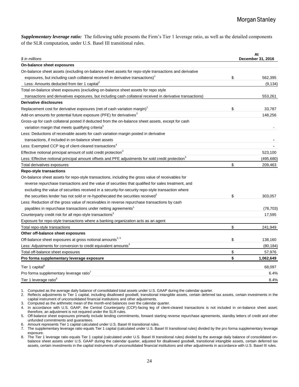*Supplementary leverage ratio:* The following table presents the Firm's Tier 1 leverage ratio, as well as the detailed components of the SLR computation, under U.S. Basel III transitional rules.

| \$ in millions                                                                                                | At<br>December 31, 2016 |            |
|---------------------------------------------------------------------------------------------------------------|-------------------------|------------|
| On-balance sheet exposures                                                                                    |                         |            |
| On-balance sheet assets (excluding on-balance sheet assets for repo-style transactions and derivative         |                         |            |
| exposures, but including cash collateral received in derivative transactions) <sup>1</sup>                    | \$                      | 562,395    |
| Less: Amounts deducted from tier 1 capital <sup>2</sup>                                                       |                         | (9, 134)   |
| Total on-balance sheet exposures (excluding on-balance sheet assets for repo style                            |                         |            |
| transactions and derivatives exposures, but including cash collateral received in derivative transactions)    |                         | 553,261    |
| Derivative disclosures                                                                                        |                         |            |
| Replacement cost for derivative exposures (net of cash variation margin)                                      | \$                      | 33,787     |
| Add-on amounts for potential future exposure (PFE) for derivatives <sup>3</sup>                               |                         | 148.256    |
| Gross-up for cash collateral posted if deducted from the on-balance sheet assets, except for cash             |                         |            |
| variation margin that meets qualifying criteria <sup>3</sup>                                                  |                         |            |
| Less: Deductions of receivable assets for cash variation margin posted in derivative                          |                         |            |
| transactions, if included in on-balance sheet assets                                                          |                         |            |
| Less: Exempted CCP leg of client-cleared transactions <sup>4</sup>                                            |                         |            |
| Effective notional principal amount of sold credit protection <sup>3</sup>                                    |                         | 523,100    |
| Less: Effective notional principal amount offsets and PFE adjustments for sold credit protection <sup>3</sup> |                         | (495, 680) |
| Total derivatives exposures                                                                                   | \$                      | 209,463    |
| <b>Repo-style transactions</b>                                                                                |                         |            |
| On-balance sheet assets for repo-style transactions, including the gross value of receivables for             |                         |            |
| reverse repurchase transactions and the value of securities that qualified for sales treatment, and           |                         |            |
| excluding the value of securities received in a security-for-security repo-style transaction where            |                         |            |
| the securities lender has not sold or re-hypothecated the securities received                                 | \$                      | 303,057    |
| Less: Reduction of the gross value of receivables in reverse repurchase transactions by cash                  |                         |            |
| payables in repurchase transactions under netting agreements <sup>1</sup>                                     |                         | (78, 703)  |
| Counterparty credit risk for all repo-style transactions <sup>3</sup>                                         |                         | 17,595     |
| Exposure for repo-style transactions where a banking organization acts as an agent                            |                         |            |
| Total repo-style transactions                                                                                 | \$                      | 241,949    |
| Other off-balance sheet exposures                                                                             |                         |            |
| Off-balance sheet exposures at gross notional amounts <sup>3, 5</sup>                                         | \$                      | 138,160    |
| Less: Adjustments for conversion to credit equivalent amounts <sup>3</sup>                                    |                         | (80, 184)  |
| Total off-balance sheet exposures                                                                             | \$                      | 57,976     |
| Pro forma supplementary leverage exposure                                                                     | \$                      | 1,062,649  |
| Tier 1 capital <sup>6</sup>                                                                                   |                         | 68,097     |
| Pro forma supplementary leverage ratio'                                                                       |                         | 6.4%       |
| Tier 1 leverage ratio <sup>8</sup>                                                                            |                         | 8.4%       |

1. Computed as the average daily balance of consolidated total assets under U.S. GAAP during the calendar quarter.

2. Reflects adjustments to Tier 1 capital, including disallowed goodwill, transitional intangible assets, certain deferred tax assets, certain investments in the capital instrument of unconsolidated financial institutions and other adjustments.

3. Computed as the arithmetic mean of the month-end balances over the calendar quarter.

4. In accordance with U.S. GAAP, the Central Counterparty (CCP)-facing leg of client-cleared transactions is not included in on-balance sheet asset; therefore, an adjustment is not required under the SLR rules.

5. Off-balance sheet exposures primarily include lending commitments, forward starting reverse repurchase agreements, standby letters of credit and other unfunded commitments and guarantees.

6. Amount represents Tier 1 capital calculated under U.S. Basel III transitional rules.

7. The supplementary leverage ratio equals Tier 1 capital (calculated under U.S. Basel III transitional rules) divided by the pro forma supplementary leverage exposure.

8. The Tier 1 leverage ratio equals Tier 1 capital (calculated under U.S. Basel III transitional rules) divided by the average daily balance of consolidated onbalance sheet assets under U.S. GAAP during the calendar quarter, adjusted for disallowed goodwill, transitional intangible assets, certain deferred tax assets, certain investments in the capital instruments of unconsolidated financial institutions and other adjustments in accordance with U.S. Basel III rules.